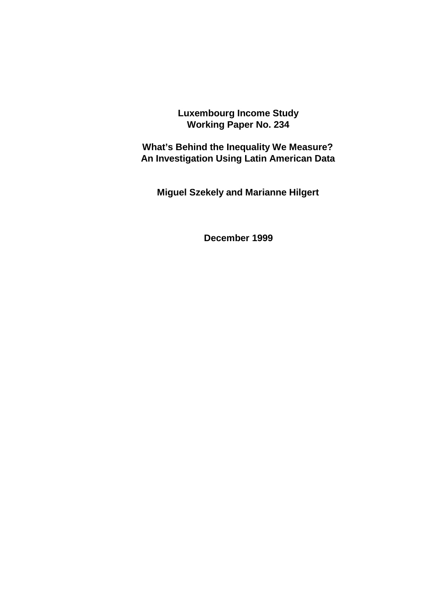**Luxembourg Income Study Working Paper No. 234**

**What's Behind the Inequality We Measure? An Investigation Using Latin American Data**

**Miguel Szekely and Marianne Hilgert**

**December 1999**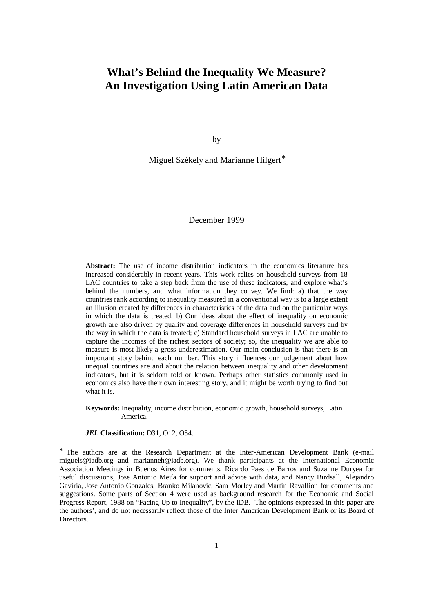## **What's Behind the Inequality We Measure? An Investigation Using Latin American Data**

by

Miguel Székely and Marianne Hilgert<sup>\*</sup>

December 1999

**Abstract:** The use of income distribution indicators in the economics literature has increased considerably in recent years. This work relies on household surveys from 18 LAC countries to take a step back from the use of these indicators, and explore what's behind the numbers, and what information they convey. We find: a) that the way countries rank according to inequality measured in a conventional way is to a large extent an illusion created by differences in characteristics of the data and on the particular ways in which the data is treated; b) Our ideas about the effect of inequality on economic growth are also driven by quality and coverage differences in household surveys and by the way in which the data is treated; c) Standard household surveys in LAC are unable to capture the incomes of the richest sectors of society; so, the inequality we are able to measure is most likely a gross underestimation. Our main conclusion is that there is an important story behind each number. This story influences our judgement about how unequal countries are and about the relation between inequality and other development indicators, but it is seldom told or known. Perhaps other statistics commonly used in economics also have their own interesting story, and it might be worth trying to find out what it is.

**Keywords:** Inequality, income distribution, economic growth, household surveys, Latin America.

*JEL* **Classification:** D31, O12, O54.

-

<sup>∗</sup> The authors are at the Research Department at the Inter-American Development Bank (e-mail miguels@iadb.org and marianneh@iadb.org). We thank participants at the International Economic Association Meetings in Buenos Aires for comments, Ricardo Paes de Barros and Suzanne Duryea for useful discussions, Jose Antonio Mejía for support and advice with data, and Nancy Birdsall, Alejandro Gaviria, Jose Antonio Gonzales, Branko Milanovic, Sam Morley and Martin Ravallion for comments and suggestions. Some parts of Section 4 were used as background research for the Economic and Social Progress Report, 1988 on "Facing Up to Inequality", by the IDB. The opinions expressed in this paper are the authors', and do not necessarily reflect those of the Inter American Development Bank or its Board of Directors.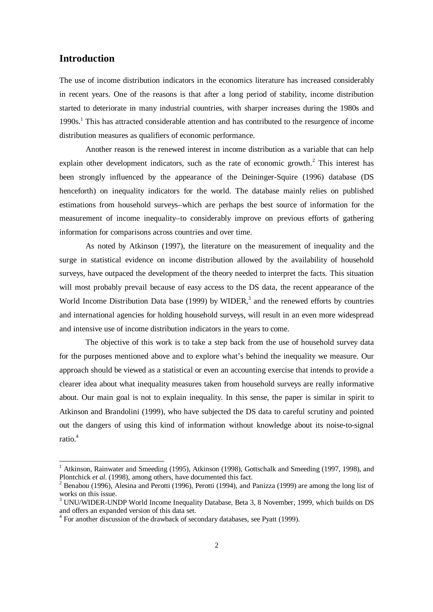### **Introduction**

l

The use of income distribution indicators in the economics literature has increased considerably in recent years. One of the reasons is that after a long period of stability, income distribution started to deteriorate in many industrial countries, with sharper increases during the 1980s and 1990s.<sup>1</sup> This has attracted considerable attention and has contributed to the resurgence of income distribution measures as qualifiers of economic performance.

Another reason is the renewed interest in income distribution as a variable that can help explain other development indicators, such as the rate of economic growth. $2$  This interest has been strongly influenced by the appearance of the Deininger-Squire (1996) database (DS henceforth) on inequality indicators for the world. The database mainly relies on published estimations from household surveys–which are perhaps the best source of information for the measurement of income inequality–to considerably improve on previous efforts of gathering information for comparisons across countries and over time.

As noted by Atkinson (1997), the literature on the measurement of inequality and the surge in statistical evidence on income distribution allowed by the availability of household surveys, have outpaced the development of the theory needed to interpret the facts. This situation will most probably prevail because of easy access to the DS data, the recent appearance of the World Income Distribution Data base (1999) by WIDER,<sup>3</sup> and the renewed efforts by countries and international agencies for holding household surveys, will result in an even more widespread and intensive use of income distribution indicators in the years to come.

The objective of this work is to take a step back from the use of household survey data for the purposes mentioned above and to explore what's behind the inequality we measure. Our approach should be viewed as a statistical or even an accounting exercise that intends to provide a clearer idea about what inequality measures taken from household surveys are really informative about. Our main goal is not to explain inequality. In this sense, the paper is similar in spirit to Atkinson and Brandolini (1999), who have subjected the DS data to careful scrutiny and pointed out the dangers of using this kind of information without knowledge about its noise-to-signal ratio.<sup>4</sup>

<sup>&</sup>lt;sup>1</sup> Atkinson, Rainwater and Smeeding (1995), Atkinson (1998), Gottschalk and Smeeding (1997, 1998), and Plontchick *et al.* (1998), among others, have documented this fact.

<sup>&</sup>lt;sup>2</sup> Benabou (1996), Alesina and Perotti (1996), Perotti (1994), and Panizza (1999) are among the long list of works on this issue. 3 UNU/WIDER-UNDP World Income Inequality Database, Beta 3, 8 November, 1999, which builds on DS

and offers an expanded version of this data set.

<sup>&</sup>lt;sup>4</sup> For another discussion of the drawback of secondary databases, see Pyatt (1999).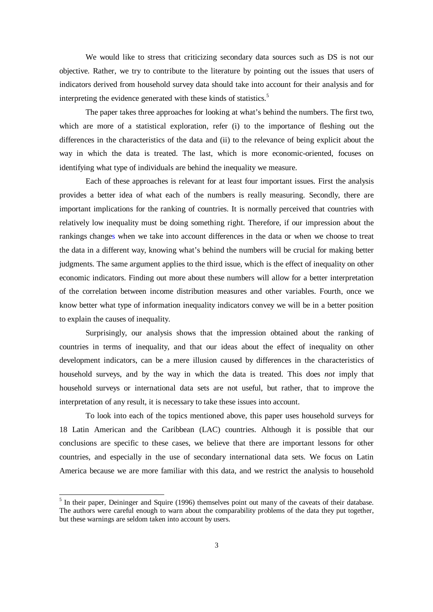We would like to stress that criticizing secondary data sources such as DS is not our objective. Rather, we try to contribute to the literature by pointing out the issues that users of indicators derived from household survey data should take into account for their analysis and for interpreting the evidence generated with these kinds of statistics.<sup>5</sup>

The paper takes three approaches for looking at what's behind the numbers. The first two, which are more of a statistical exploration, refer (i) to the importance of fleshing out the differences in the characteristics of the data and (ii) to the relevance of being explicit about the way in which the data is treated. The last, which is more economic-oriented, focuses on identifying what type of individuals are behind the inequality we measure.

Each of these approaches is relevant for at least four important issues. First the analysis provides a better idea of what each of the numbers is really measuring. Secondly, there are important implications for the ranking of countries. It is normally perceived that countries with relatively low inequality must be doing something right. Therefore, if our impression about the rankings changes when we take into account differences in the data or when we choose to treat the data in a different way, knowing what's behind the numbers will be crucial for making better judgments. The same argument applies to the third issue, which is the effect of inequality on other economic indicators. Finding out more about these numbers will allow for a better interpretation of the correlation between income distribution measures and other variables. Fourth, once we know better what type of information inequality indicators convey we will be in a better position to explain the causes of inequality.

Surprisingly, our analysis shows that the impression obtained about the ranking of countries in terms of inequality, and that our ideas about the effect of inequality on other development indicators, can be a mere illusion caused by differences in the characteristics of household surveys, and by the way in which the data is treated. This does *not* imply that household surveys or international data sets are not useful, but rather, that to improve the interpretation of any result, it is necessary to take these issues into account.

To look into each of the topics mentioned above, this paper uses household surveys for 18 Latin American and the Caribbean (LAC) countries. Although it is possible that our conclusions are specific to these cases, we believe that there are important lessons for other countries, and especially in the use of secondary international data sets. We focus on Latin America because we are more familiar with this data, and we restrict the analysis to household

<sup>&</sup>lt;sup>5</sup> In their paper, Deininger and Squire (1996) themselves point out many of the caveats of their database. The authors were careful enough to warn about the comparability problems of the data they put together, but these warnings are seldom taken into account by users.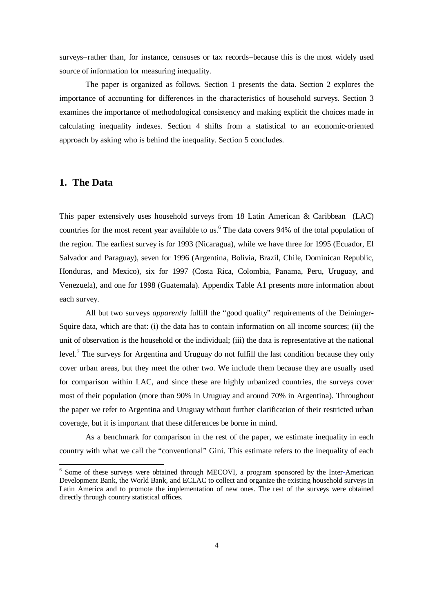surveys–rather than, for instance, censuses or tax records–because this is the most widely used source of information for measuring inequality.

The paper is organized as follows. Section 1 presents the data. Section 2 explores the importance of accounting for differences in the characteristics of household surveys. Section 3 examines the importance of methodological consistency and making explicit the choices made in calculating inequality indexes. Section 4 shifts from a statistical to an economic-oriented approach by asking who is behind the inequality. Section 5 concludes.

### **1. The Data**

l

This paper extensively uses household surveys from 18 Latin American & Caribbean (LAC) countries for the most recent year available to us.<sup>6</sup> The data covers 94% of the total population of the region. The earliest survey is for 1993 (Nicaragua), while we have three for 1995 (Ecuador, El Salvador and Paraguay), seven for 1996 (Argentina, Bolivia, Brazil, Chile, Dominican Republic, Honduras, and Mexico), six for 1997 (Costa Rica, Colombia, Panama, Peru, Uruguay, and Venezuela), and one for 1998 (Guatemala). Appendix Table A1 presents more information about each survey.

All but two surveys *apparently* fulfill the "good quality" requirements of the Deininger-Squire data, which are that: (i) the data has to contain information on all income sources; (ii) the unit of observation is the household or the individual; (iii) the data is representative at the national level.<sup>7</sup> The surveys for Argentina and Uruguay do not fulfill the last condition because they only cover urban areas, but they meet the other two. We include them because they are usually used for comparison within LAC, and since these are highly urbanized countries, the surveys cover most of their population (more than 90% in Uruguay and around 70% in Argentina). Throughout the paper we refer to Argentina and Uruguay without further clarification of their restricted urban coverage, but it is important that these differences be borne in mind.

As a benchmark for comparison in the rest of the paper, we estimate inequality in each country with what we call the "conventional" Gini. This estimate refers to the inequality of each

<sup>&</sup>lt;sup>6</sup> Some of these surveys were obtained through MECOVI, a program sponsored by the Inter-American Development Bank, the World Bank, and ECLAC to collect and organize the existing household surveys in Latin America and to promote the implementation of new ones. The rest of the surveys were obtained directly through country statistical offices.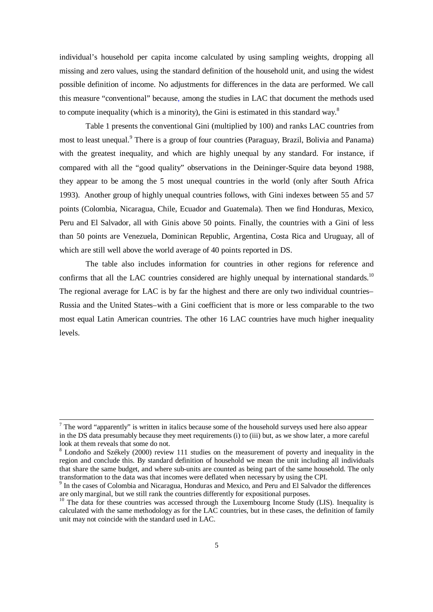individual's household per capita income calculated by using sampling weights, dropping all missing and zero values, using the standard definition of the household unit, and using the widest possible definition of income. No adjustments for differences in the data are performed. We call this measure "conventional" because, among the studies in LAC that document the methods used to compute inequality (which is a minority), the Gini is estimated in this standard way.<sup>8</sup>

Table 1 presents the conventional Gini (multiplied by 100) and ranks LAC countries from most to least unequal.<sup>9</sup> There is a group of four countries (Paraguay, Brazil, Bolivia and Panama) with the greatest inequality, and which are highly unequal by any standard. For instance, if compared with all the "good quality" observations in the Deininger-Squire data beyond 1988, they appear to be among the 5 most unequal countries in the world (only after South Africa 1993). Another group of highly unequal countries follows, with Gini indexes between 55 and 57 points (Colombia, Nicaragua, Chile, Ecuador and Guatemala). Then we find Honduras, Mexico, Peru and El Salvador, all with Ginis above 50 points. Finally, the countries with a Gini of less than 50 points are Venezuela, Dominican Republic, Argentina, Costa Rica and Uruguay, all of which are still well above the world average of 40 points reported in DS.

The table also includes information for countries in other regions for reference and confirms that all the LAC countries considered are highly unequal by international standards.<sup>10</sup> The regional average for LAC is by far the highest and there are only two individual countries– Russia and the United States–with a Gini coefficient that is more or less comparable to the two most equal Latin American countries. The other 16 LAC countries have much higher inequality levels.

 $<sup>7</sup>$  The word "apparently" is written in italics because some of the household surveys used here also appear</sup> in the DS data presumably because they meet requirements (i) to (iii) but, as we show later, a more careful look at them reveals that some do not.

 $8$  Londoño and Székely (2000) review 111 studies on the measurement of poverty and inequality in the region and conclude this. By standard definition of household we mean the unit including all individuals that share the same budget, and where sub-units are counted as being part of the same household. The only transformation to the data was that incomes were deflated when necessary by using the CPI.

<sup>&</sup>lt;sup>9</sup> In the cases of Colombia and Nicaragua, Honduras and Mexico, and Peru and El Salvador the differences are only marginal, but we still rank the countries differently for expositional purposes.

<sup>&</sup>lt;sup>10</sup> The data for these countries was accessed through the Luxembourg Income Study (LIS). Inequality is calculated with the same methodology as for the LAC countries, but in these cases, the definition of family unit may not coincide with the standard used in LAC.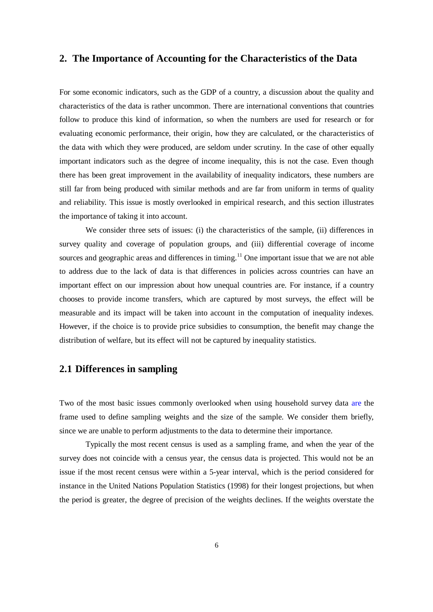#### **2. The Importance of Accounting for the Characteristics of the Data**

For some economic indicators, such as the GDP of a country, a discussion about the quality and characteristics of the data is rather uncommon. There are international conventions that countries follow to produce this kind of information, so when the numbers are used for research or for evaluating economic performance, their origin, how they are calculated, or the characteristics of the data with which they were produced, are seldom under scrutiny. In the case of other equally important indicators such as the degree of income inequality, this is not the case. Even though there has been great improvement in the availability of inequality indicators, these numbers are still far from being produced with similar methods and are far from uniform in terms of quality and reliability. This issue is mostly overlooked in empirical research, and this section illustrates the importance of taking it into account.

We consider three sets of issues: (i) the characteristics of the sample, (ii) differences in survey quality and coverage of population groups, and (iii) differential coverage of income sources and geographic areas and differences in timing.<sup>11</sup> One important issue that we are not able to address due to the lack of data is that differences in policies across countries can have an important effect on our impression about how unequal countries are. For instance, if a country chooses to provide income transfers, which are captured by most surveys, the effect will be measurable and its impact will be taken into account in the computation of inequality indexes. However, if the choice is to provide price subsidies to consumption, the benefit may change the distribution of welfare, but its effect will not be captured by inequality statistics.

## **2.1 Differences in sampling**

Two of the most basic issues commonly overlooked when using household survey data are the frame used to define sampling weights and the size of the sample. We consider them briefly, since we are unable to perform adjustments to the data to determine their importance.

Typically the most recent census is used as a sampling frame, and when the year of the survey does not coincide with a census year, the census data is projected. This would not be an issue if the most recent census were within a 5-year interval, which is the period considered for instance in the United Nations Population Statistics (1998) for their longest projections, but when the period is greater, the degree of precision of the weights declines. If the weights overstate the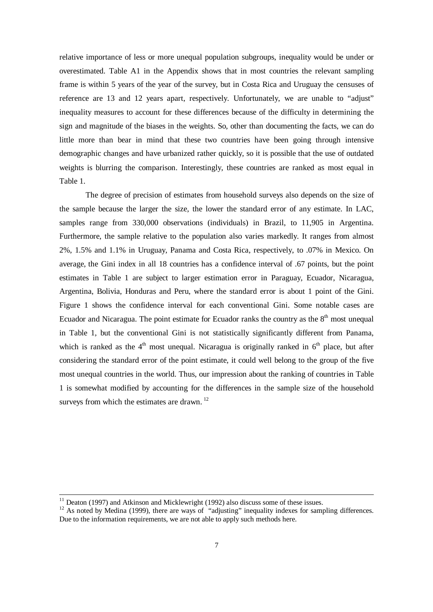relative importance of less or more unequal population subgroups, inequality would be under or overestimated. Table A1 in the Appendix shows that in most countries the relevant sampling frame is within 5 years of the year of the survey, but in Costa Rica and Uruguay the censuses of reference are 13 and 12 years apart, respectively. Unfortunately, we are unable to "adjust" inequality measures to account for these differences because of the difficulty in determining the sign and magnitude of the biases in the weights. So, other than documenting the facts, we can do little more than bear in mind that these two countries have been going through intensive demographic changes and have urbanized rather quickly, so it is possible that the use of outdated weights is blurring the comparison. Interestingly, these countries are ranked as most equal in Table 1.

The degree of precision of estimates from household surveys also depends on the size of the sample because the larger the size, the lower the standard error of any estimate. In LAC, samples range from 330,000 observations (individuals) in Brazil, to 11,905 in Argentina. Furthermore, the sample relative to the population also varies markedly. It ranges from almost 2%, 1.5% and 1.1% in Uruguay, Panama and Costa Rica, respectively, to .07% in Mexico. On average, the Gini index in all 18 countries has a confidence interval of .67 points, but the point estimates in Table 1 are subject to larger estimation error in Paraguay, Ecuador, Nicaragua, Argentina, Bolivia, Honduras and Peru, where the standard error is about 1 point of the Gini. Figure 1 shows the confidence interval for each conventional Gini. Some notable cases are Ecuador and Nicaragua. The point estimate for Ecuador ranks the country as the  $8<sup>th</sup>$  most unequal in Table 1, but the conventional Gini is not statistically significantly different from Panama, which is ranked as the  $4<sup>th</sup>$  most unequal. Nicaragua is originally ranked in  $6<sup>th</sup>$  place, but after considering the standard error of the point estimate, it could well belong to the group of the five most unequal countries in the world. Thus, our impression about the ranking of countries in Table 1 is somewhat modified by accounting for the differences in the sample size of the household surveys from which the estimates are drawn.<sup>12</sup>

l

 $11$  Deaton (1997) and Atkinson and Micklewright (1992) also discuss some of these issues.

<sup>&</sup>lt;sup>12</sup> As noted by Medina (1999), there are ways of "adjusting" inequality indexes for sampling differences. Due to the information requirements, we are not able to apply such methods here.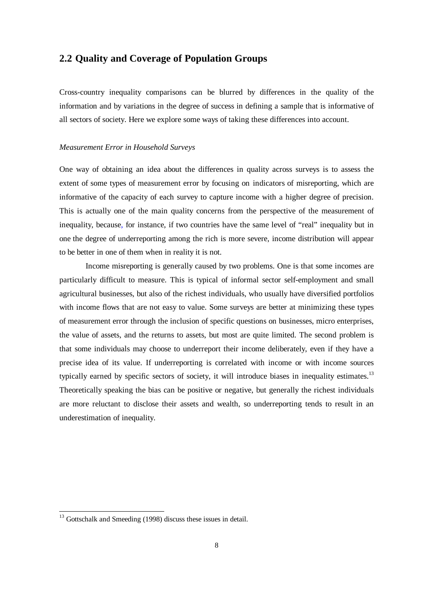### **2.2 Quality and Coverage of Population Groups**

Cross-country inequality comparisons can be blurred by differences in the quality of the information and by variations in the degree of success in defining a sample that is informative of all sectors of society. Here we explore some ways of taking these differences into account.

#### *Measurement Error in Household Surveys*

One way of obtaining an idea about the differences in quality across surveys is to assess the extent of some types of measurement error by focusing on indicators of misreporting, which are informative of the capacity of each survey to capture income with a higher degree of precision. This is actually one of the main quality concerns from the perspective of the measurement of inequality, because, for instance, if two countries have the same level of "real" inequality but in one the degree of underreporting among the rich is more severe, income distribution will appear to be better in one of them when in reality it is not.

Income misreporting is generally caused by two problems. One is that some incomes are particularly difficult to measure. This is typical of informal sector self-employment and small agricultural businesses, but also of the richest individuals, who usually have diversified portfolios with income flows that are not easy to value. Some surveys are better at minimizing these types of measurement error through the inclusion of specific questions on businesses, micro enterprises, the value of assets, and the returns to assets, but most are quite limited. The second problem is that some individuals may choose to underreport their income deliberately, even if they have a precise idea of its value. If underreporting is correlated with income or with income sources typically earned by specific sectors of society, it will introduce biases in inequality estimates.<sup>13</sup> Theoretically speaking the bias can be positive or negative, but generally the richest individuals are more reluctant to disclose their assets and wealth, so underreporting tends to result in an underestimation of inequality.

l

 $13$  Gottschalk and Smeeding (1998) discuss these issues in detail.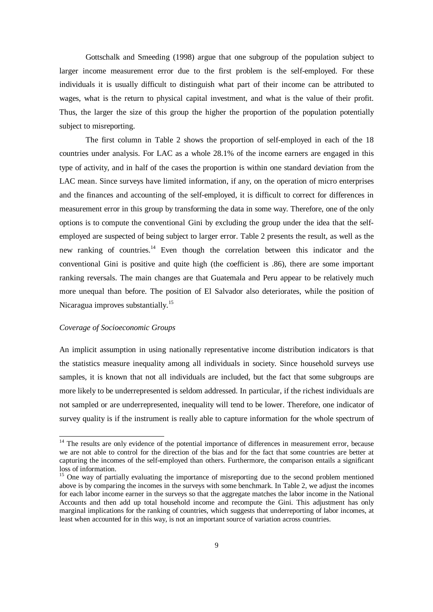Gottschalk and Smeeding (1998) argue that one subgroup of the population subject to larger income measurement error due to the first problem is the self-employed. For these individuals it is usually difficult to distinguish what part of their income can be attributed to wages, what is the return to physical capital investment, and what is the value of their profit. Thus, the larger the size of this group the higher the proportion of the population potentially subject to misreporting.

The first column in Table 2 shows the proportion of self-employed in each of the 18 countries under analysis. For LAC as a whole 28.1% of the income earners are engaged in this type of activity, and in half of the cases the proportion is within one standard deviation from the LAC mean. Since surveys have limited information, if any, on the operation of micro enterprises and the finances and accounting of the self-employed, it is difficult to correct for differences in measurement error in this group by transforming the data in some way. Therefore, one of the only options is to compute the conventional Gini by excluding the group under the idea that the selfemployed are suspected of being subject to larger error. Table 2 presents the result, as well as the new ranking of countries.<sup>14</sup> Even though the correlation between this indicator and the conventional Gini is positive and quite high (the coefficient is .86), there are some important ranking reversals. The main changes are that Guatemala and Peru appear to be relatively much more unequal than before. The position of El Salvador also deteriorates, while the position of Nicaragua improves substantially.<sup>15</sup>

#### *Coverage of Socioeconomic Groups*

l

An implicit assumption in using nationally representative income distribution indicators is that the statistics measure inequality among all individuals in society. Since household surveys use samples, it is known that not all individuals are included, but the fact that some subgroups are more likely to be underrepresented is seldom addressed. In particular, if the richest individuals are not sampled or are underrepresented, inequality will tend to be lower. Therefore, one indicator of survey quality is if the instrument is really able to capture information for the whole spectrum of

<sup>&</sup>lt;sup>14</sup> The results are only evidence of the potential importance of differences in measurement error, because we are not able to control for the direction of the bias and for the fact that some countries are better at capturing the incomes of the self-employed than others. Furthermore, the comparison entails a significant loss of information.

<sup>&</sup>lt;sup>15</sup> One way of partially evaluating the importance of misreporting due to the second problem mentioned above is by comparing the incomes in the surveys with some benchmark. In Table 2, we adjust the incomes for each labor income earner in the surveys so that the aggregate matches the labor income in the National Accounts and then add up total household income and recompute the Gini. This adjustment has only marginal implications for the ranking of countries, which suggests that underreporting of labor incomes, at least when accounted for in this way, is not an important source of variation across countries.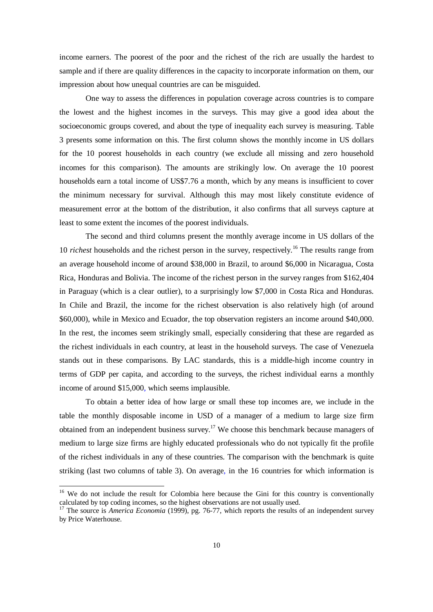income earners. The poorest of the poor and the richest of the rich are usually the hardest to sample and if there are quality differences in the capacity to incorporate information on them, our impression about how unequal countries are can be misguided.

One way to assess the differences in population coverage across countries is to compare the lowest and the highest incomes in the surveys. This may give a good idea about the socioeconomic groups covered, and about the type of inequality each survey is measuring. Table 3 presents some information on this. The first column shows the monthly income in US dollars for the 10 poorest households in each country (we exclude all missing and zero household incomes for this comparison). The amounts are strikingly low. On average the 10 poorest households earn a total income of US\$7.76 a month, which by any means is insufficient to cover the minimum necessary for survival. Although this may most likely constitute evidence of measurement error at the bottom of the distribution, it also confirms that all surveys capture at least to some extent the incomes of the poorest individuals.

The second and third columns present the monthly average income in US dollars of the 10 *richest* households and the richest person in the survey, respectively.<sup>16</sup> The results range from an average household income of around \$38,000 in Brazil, to around \$6,000 in Nicaragua, Costa Rica, Honduras and Bolivia. The income of the richest person in the survey ranges from \$162,404 in Paraguay (which is a clear outlier), to a surprisingly low \$7,000 in Costa Rica and Honduras. In Chile and Brazil, the income for the richest observation is also relatively high (of around \$60,000), while in Mexico and Ecuador, the top observation registers an income around \$40,000. In the rest, the incomes seem strikingly small, especially considering that these are regarded as the richest individuals in each country, at least in the household surveys. The case of Venezuela stands out in these comparisons. By LAC standards, this is a middle-high income country in terms of GDP per capita, and according to the surveys, the richest individual earns a monthly income of around \$15,000, which seems implausible.

To obtain a better idea of how large or small these top incomes are, we include in the table the monthly disposable income in USD of a manager of a medium to large size firm obtained from an independent business survey.<sup>17</sup> We choose this benchmark because managers of medium to large size firms are highly educated professionals who do not typically fit the profile of the richest individuals in any of these countries. The comparison with the benchmark is quite striking (last two columns of table 3). On average, in the 16 countries for which information is

-

 $16$  We do not include the result for Colombia here because the Gini for this country is conventionally calculated by top coding incomes, so the highest observations are not usually used.

<sup>&</sup>lt;sup>17</sup> The source is *America Economia* (1999), pg. 76-77, which reports the results of an independent survey by Price Waterhouse.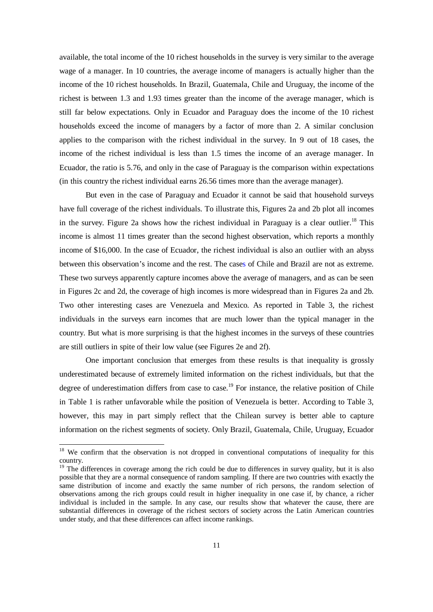available, the total income of the 10 richest households in the survey is very similar to the average wage of a manager. In 10 countries, the average income of managers is actually higher than the income of the 10 richest households. In Brazil, Guatemala, Chile and Uruguay, the income of the richest is between 1.3 and 1.93 times greater than the income of the average manager, which is still far below expectations. Only in Ecuador and Paraguay does the income of the 10 richest households exceed the income of managers by a factor of more than 2. A similar conclusion applies to the comparison with the richest individual in the survey. In 9 out of 18 cases, the income of the richest individual is less than 1.5 times the income of an average manager. In Ecuador, the ratio is 5.76, and only in the case of Paraguay is the comparison within expectations (in this country the richest individual earns 26.56 times more than the average manager).

But even in the case of Paraguay and Ecuador it cannot be said that household surveys have full coverage of the richest individuals. To illustrate this, Figures 2a and 2b plot all incomes in the survey. Figure 2a shows how the richest individual in Paraguay is a clear outlier.<sup>18</sup> This income is almost 11 times greater than the second highest observation, which reports a monthly income of \$16,000. In the case of Ecuador, the richest individual is also an outlier with an abyss between this observation's income and the rest. The cases of Chile and Brazil are not as extreme. These two surveys apparently capture incomes above the average of managers, and as can be seen in Figures 2c and 2d, the coverage of high incomes is more widespread than in Figures 2a and 2b. Two other interesting cases are Venezuela and Mexico. As reported in Table 3, the richest individuals in the surveys earn incomes that are much lower than the typical manager in the country. But what is more surprising is that the highest incomes in the surveys of these countries are still outliers in spite of their low value (see Figures 2e and 2f).

One important conclusion that emerges from these results is that inequality is grossly underestimated because of extremely limited information on the richest individuals, but that the degree of underestimation differs from case to case.<sup>19</sup> For instance, the relative position of Chile in Table 1 is rather unfavorable while the position of Venezuela is better. According to Table 3, however, this may in part simply reflect that the Chilean survey is better able to capture information on the richest segments of society. Only Brazil, Guatemala, Chile, Uruguay, Ecuador

-

 $18$  We confirm that the observation is not dropped in conventional computations of inequality for this country.

 $19$  The differences in coverage among the rich could be due to differences in survey quality, but it is also possible that they are a normal consequence of random sampling. If there are two countries with exactly the same distribution of income and exactly the same number of rich persons, the random selection of observations among the rich groups could result in higher inequality in one case if, by chance, a richer individual is included in the sample. In any case, our results show that whatever the cause, there are substantial differences in coverage of the richest sectors of society across the Latin American countries under study, and that these differences can affect income rankings.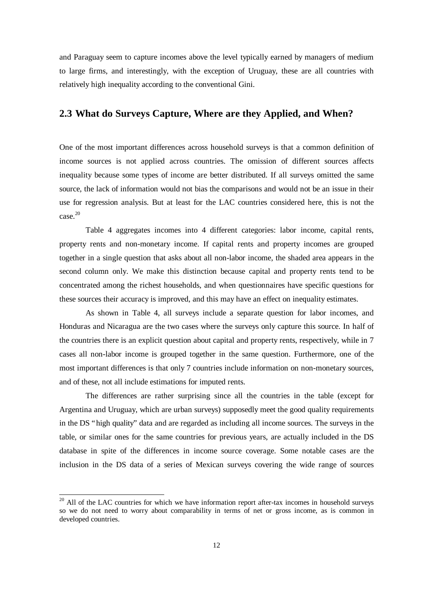and Paraguay seem to capture incomes above the level typically earned by managers of medium to large firms, and interestingly, with the exception of Uruguay, these are all countries with relatively high inequality according to the conventional Gini.

#### **2.3 What do Surveys Capture, Where are they Applied, and When?**

One of the most important differences across household surveys is that a common definition of income sources is not applied across countries. The omission of different sources affects inequality because some types of income are better distributed. If all surveys omitted the same source, the lack of information would not bias the comparisons and would not be an issue in their use for regression analysis. But at least for the LAC countries considered here, this is not the case.<sup>20</sup>

Table 4 aggregates incomes into 4 different categories: labor income, capital rents, property rents and non-monetary income. If capital rents and property incomes are grouped together in a single question that asks about all non-labor income, the shaded area appears in the second column only. We make this distinction because capital and property rents tend to be concentrated among the richest households, and when questionnaires have specific questions for these sources their accuracy is improved, and this may have an effect on inequality estimates.

As shown in Table 4, all surveys include a separate question for labor incomes, and Honduras and Nicaragua are the two cases where the surveys only capture this source. In half of the countries there is an explicit question about capital and property rents, respectively, while in 7 cases all non-labor income is grouped together in the same question. Furthermore, one of the most important differences is that only 7 countries include information on non-monetary sources, and of these, not all include estimations for imputed rents.

The differences are rather surprising since all the countries in the table (except for Argentina and Uruguay, which are urban surveys) supposedly meet the good quality requirements in the DS "high quality" data and are regarded as including all income sources. The surveys in the table, or similar ones for the same countries for previous years, are actually included in the DS database in spite of the differences in income source coverage. Some notable cases are the inclusion in the DS data of a series of Mexican surveys covering the wide range of sources

l

 $20$  All of the LAC countries for which we have information report after-tax incomes in household surveys so we do not need to worry about comparability in terms of net or gross income, as is common in developed countries.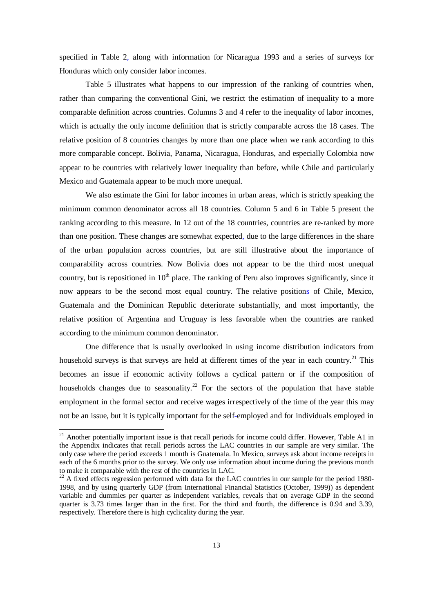specified in Table 2, along with information for Nicaragua 1993 and a series of surveys for Honduras which only consider labor incomes.

Table 5 illustrates what happens to our impression of the ranking of countries when, rather than comparing the conventional Gini, we restrict the estimation of inequality to a more comparable definition across countries. Columns 3 and 4 refer to the inequality of labor incomes, which is actually the only income definition that is strictly comparable across the 18 cases. The relative position of 8 countries changes by more than one place when we rank according to this more comparable concept. Bolivia, Panama, Nicaragua, Honduras, and especially Colombia now appear to be countries with relatively lower inequality than before, while Chile and particularly Mexico and Guatemala appear to be much more unequal.

We also estimate the Gini for labor incomes in urban areas, which is strictly speaking the minimum common denominator across all 18 countries. Column 5 and 6 in Table 5 present the ranking according to this measure. In 12 out of the 18 countries, countries are re-ranked by more than one position. These changes are somewhat expected, due to the large differences in the share of the urban population across countries, but are still illustrative about the importance of comparability across countries. Now Bolivia does not appear to be the third most unequal country, but is repositioned in  $10<sup>th</sup>$  place. The ranking of Peru also improves significantly, since it now appears to be the second most equal country. The relative positions of Chile, Mexico, Guatemala and the Dominican Republic deteriorate substantially, and most importantly, the relative position of Argentina and Uruguay is less favorable when the countries are ranked according to the minimum common denominator.

One difference that is usually overlooked in using income distribution indicators from household surveys is that surveys are held at different times of the year in each country.<sup>21</sup> This becomes an issue if economic activity follows a cyclical pattern or if the composition of households changes due to seasonality.<sup>22</sup> For the sectors of the population that have stable employment in the formal sector and receive wages irrespectively of the time of the year this may not be an issue, but it is typically important for the self-employed and for individuals employed in

-

 $21$  Another potentially important issue is that recall periods for income could differ. However, Table A1 in the Appendix indicates that recall periods across the LAC countries in our sample are very similar. The only case where the period exceeds 1 month is Guatemala. In Mexico, surveys ask about income receipts in each of the 6 months prior to the survey. We only use information about income during the previous month to make it comparable with the rest of the countries in LAC.

 $22$  A fixed effects regression performed with data for the LAC countries in our sample for the period 1980-1998, and by using quarterly GDP (from International Financial Statistics (October, 1999)) as dependent variable and dummies per quarter as independent variables, reveals that on average GDP in the second quarter is 3.73 times larger than in the first. For the third and fourth, the difference is 0.94 and 3.39, respectively. Therefore there is high cyclicality during the year.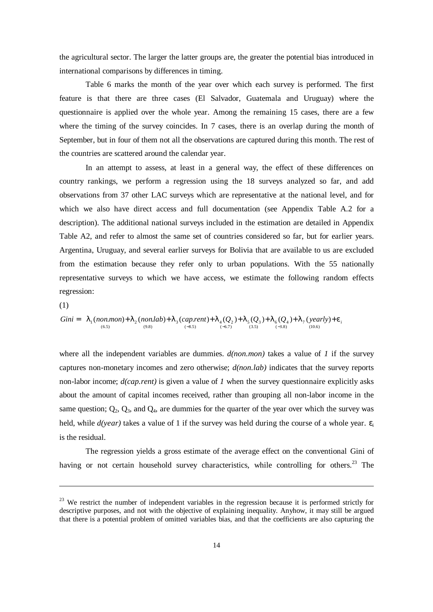the agricultural sector. The larger the latter groups are, the greater the potential bias introduced in international comparisons by differences in timing.

Table 6 marks the month of the year over which each survey is performed. The first feature is that there are three cases (El Salvador, Guatemala and Uruguay) where the questionnaire is applied over the whole year. Among the remaining 15 cases, there are a few where the timing of the survey coincides. In 7 cases, there is an overlap during the month of September, but in four of them not all the observations are captured during this month. The rest of the countries are scattered around the calendar year.

In an attempt to assess, at least in a general way, the effect of these differences on country rankings, we perform a regression using the 18 surveys analyzed so far, and add observations from 37 other LAC surveys which are representative at the national level, and for which we also have direct access and full documentation (see Appendix Table A.2 for a description). The additional national surveys included in the estimation are detailed in Appendix Table A2, and refer to almost the same set of countries considered so far, but for earlier years. Argentina, Uruguay, and several earlier surveys for Bolivia that are available to us are excluded from the estimation because they refer only to urban populations. With the 55 nationally representative surveys to which we have access, we estimate the following random effects regression:

(1)

-

Gini = 
$$
I_1
$$
 (non.mon)+ $I_2$  (non.lab)+ $I_3$  (cap.rent)+ $I_4(Q_2)$ + $I_5(Q_3)$ + $I_6(Q_4)$ + $I_7$  (yearly)+ $e_i$   
\n<sub>(6.5)</sub> (9.8)

where all the independent variables are dummies. *d(non.mon)* takes a value of *1* if the survey captures non-monetary incomes and zero otherwise; *d(non.lab)* indicates that the survey reports non-labor income; *d(cap.rent)* is given a value of *1* when the survey questionnaire explicitly asks about the amount of capital incomes received, rather than grouping all non-labor income in the same question;  $Q_2$ ,  $Q_3$ , and  $Q_4$ , are dummies for the quarter of the year over which the survey was held, while  $d(year)$  takes a value of 1 if the survey was held during the course of a whole year.  $\varepsilon$ <sub>i</sub> is the residual.

The regression yields a gross estimate of the average effect on the conventional Gini of having or not certain household survey characteristics, while controlling for others.<sup>23</sup> The

<sup>&</sup>lt;sup>23</sup> We restrict the number of independent variables in the regression because it is performed strictly for descriptive purposes, and not with the objective of explaining inequality. Anyhow, it may still be argued that there is a potential problem of omitted variables bias, and that the coefficients are also capturing the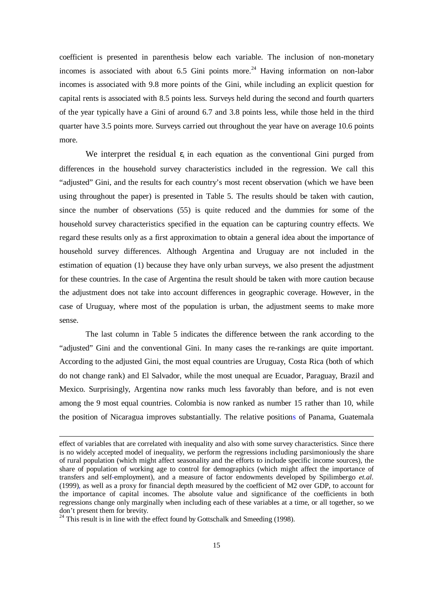coefficient is presented in parenthesis below each variable. The inclusion of non-monetary incomes is associated with about 6.5 Gini points more.<sup>24</sup> Having information on non-labor incomes is associated with 9.8 more points of the Gini, while including an explicit question for capital rents is associated with 8.5 points less. Surveys held during the second and fourth quarters of the year typically have a Gini of around 6.7 and 3.8 points less, while those held in the third quarter have 3.5 points more. Surveys carried out throughout the year have on average 10.6 points more.

We interpret the residual  $\varepsilon_i$  in each equation as the conventional Gini purged from differences in the household survey characteristics included in the regression. We call this "adjusted" Gini, and the results for each country's most recent observation (which we have been using throughout the paper) is presented in Table 5. The results should be taken with caution, since the number of observations (55) is quite reduced and the dummies for some of the household survey characteristics specified in the equation can be capturing country effects. We regard these results only as a first approximation to obtain a general idea about the importance of household survey differences. Although Argentina and Uruguay are not included in the estimation of equation (1) because they have only urban surveys, we also present the adjustment for these countries. In the case of Argentina the result should be taken with more caution because the adjustment does not take into account differences in geographic coverage. However, in the case of Uruguay, where most of the population is urban, the adjustment seems to make more sense.

The last column in Table 5 indicates the difference between the rank according to the "adjusted" Gini and the conventional Gini. In many cases the re-rankings are quite important. According to the adjusted Gini, the most equal countries are Uruguay, Costa Rica (both of which do not change rank) and El Salvador, while the most unequal are Ecuador, Paraguay, Brazil and Mexico. Surprisingly, Argentina now ranks much less favorably than before, and is not even among the 9 most equal countries. Colombia is now ranked as number 15 rather than 10, while the position of Nicaragua improves substantially. The relative positions of Panama, Guatemala

l

effect of variables that are correlated with inequality and also with some survey characteristics. Since there is no widely accepted model of inequality, we perform the regressions including parsimoniously the share of rural population (which might affect seasonality and the efforts to include specific income sources), the share of population of working age to control for demographics (which might affect the importance of transfers and self-employment), and a measure of factor endowments developed by Spilimbergo *et.al.* (1999), as well as a proxy for financial depth measured by the coefficient of M2 over GDP, to account for the importance of capital incomes. The absolute value and significance of the coefficients in both regressions change only marginally when including each of these variables at a time, or all together, so we don't present them for brevity.

 $24$  This result is in line with the effect found by Gottschalk and Smeeding (1998).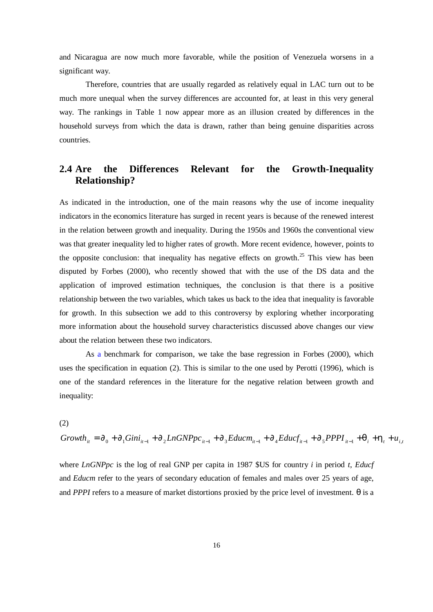and Nicaragua are now much more favorable, while the position of Venezuela worsens in a significant way.

Therefore, countries that are usually regarded as relatively equal in LAC turn out to be much more unequal when the survey differences are accounted for, at least in this very general way. The rankings in Table 1 now appear more as an illusion created by differences in the household surveys from which the data is drawn, rather than being genuine disparities across countries.

## **2.4 Are the Differences Relevant for the Growth-Inequality Relationship?**

As indicated in the introduction, one of the main reasons why the use of income inequality indicators in the economics literature has surged in recent years is because of the renewed interest in the relation between growth and inequality. During the 1950s and 1960s the conventional view was that greater inequality led to higher rates of growth. More recent evidence, however, points to the opposite conclusion: that inequality has negative effects on growth.<sup>25</sup> This view has been disputed by Forbes (2000), who recently showed that with the use of the DS data and the application of improved estimation techniques, the conclusion is that there is a positive relationship between the two variables, which takes us back to the idea that inequality is favorable for growth. In this subsection we add to this controversy by exploring whether incorporating more information about the household survey characteristics discussed above changes our view about the relation between these two indicators.

As a benchmark for comparison, we take the base regression in Forbes (2000), which uses the specification in equation (2). This is similar to the one used by Perotti (1996), which is one of the standard references in the literature for the negative relation between growth and inequality:

(2)

$$
Growth_{it} = \partial_0 + \partial_1 Gini_{it-1} + \partial_2 LnGNPpc_{it-1} + \partial_3 Educm_{it-1} + \partial_4 Educf_{it-1} + \partial_5 PPPI_{it-1} + \mathbf{q}_i + \mathbf{h}_t + u_{i,t-1} + \mathbf{q}_i + \mathbf{h}_t + \mathbf{h}_t
$$

where *LnGNPpc* is the log of real GNP per capita in 1987 \$US for country *i* in period *t*, *Educf* and *Educm* refer to the years of secondary education of females and males over 25 years of age, and *PPPI* refers to a measure of market distortions proxied by the price level of investment. θ is a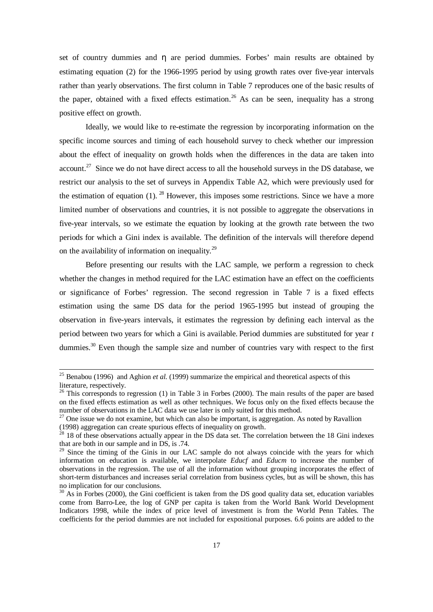set of country dummies and η are period dummies. Forbes' main results are obtained by estimating equation (2) for the 1966-1995 period by using growth rates over five-year intervals rather than yearly observations. The first column in Table 7 reproduces one of the basic results of the paper, obtained with a fixed effects estimation.<sup>26</sup> As can be seen, inequality has a strong positive effect on growth.

Ideally, we would like to re-estimate the regression by incorporating information on the specific income sources and timing of each household survey to check whether our impression about the effect of inequality on growth holds when the differences in the data are taken into account.<sup>27</sup> Since we do not have direct access to all the household surveys in the DS database, we restrict our analysis to the set of surveys in Appendix Table A2, which were previously used for the estimation of equation (1). <sup>28</sup> However, this imposes some restrictions. Since we have a more limited number of observations and countries, it is not possible to aggregate the observations in five-year intervals, so we estimate the equation by looking at the growth rate between the two periods for which a Gini index is available. The definition of the intervals will therefore depend on the availability of information on inequality.<sup>29</sup>

Before presenting our results with the LAC sample, we perform a regression to check whether the changes in method required for the LAC estimation have an effect on the coefficients or significance of Forbes' regression. The second regression in Table 7 is a fixed effects estimation using the same DS data for the period 1965-1995 but instead of grouping the observation in five-years intervals, it estimates the regression by defining each interval as the period between two years for which a Gini is available. Period dummies are substituted for year *t* dummies.<sup>30</sup> Even though the sample size and number of countries vary with respect to the first

-

<sup>25</sup> Benabou (1996) and Aghion *et al.* (1999) summarize the empirical and theoretical aspects of this literature, respectively.

<sup>&</sup>lt;sup>26</sup> This corresponds to regression (1) in Table 3 in Forbes (2000). The main results of the paper are based on the fixed effects estimation as well as other techniques. We focus only on the fixed effects because the number of observations in the LAC data we use later is only suited for this method.

 $27$  One issue we do not examine, but which can also be important, is aggregation. As noted by Ravallion (1998) aggregation can create spurious effects of inequality on growth.

 $28$  18 of these observations actually appear in the DS data set. The correlation between the 18 Gini indexes that are both in our sample and in DS, is .74.

<sup>&</sup>lt;sup>29</sup> Since the timing of the Ginis in our LAC sample do not always coincide with the years for which information on education is available, we interpolate *Educf* and *Educm* to increase the number of observations in the regression. The use of all the information without grouping incorporates the effect of short-term disturbances and increases serial correlation from business cycles, but as will be shown, this has no implication for our conclusions.

<sup>&</sup>lt;sup>30</sup> As in Forbes (2000), the Gini coefficient is taken from the DS good quality data set, education variables come from Barro-Lee, the log of GNP per capita is taken from the World Bank World Development Indicators 1998, while the index of price level of investment is from the World Penn Tables. The coefficients for the period dummies are not included for expositional purposes. 6.6 points are added to the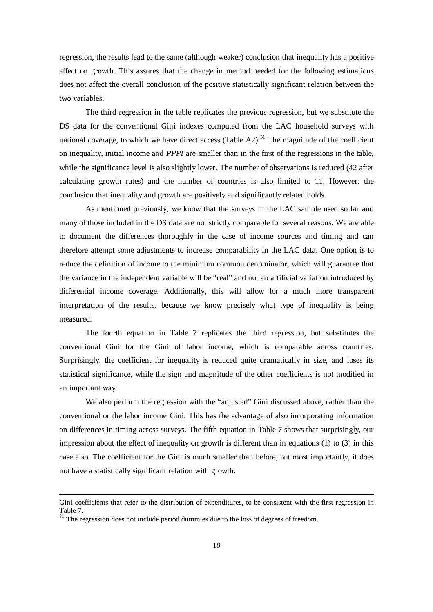regression, the results lead to the same (although weaker) conclusion that inequality has a positive effect on growth. This assures that the change in method needed for the following estimations does not affect the overall conclusion of the positive statistically significant relation between the two variables.

The third regression in the table replicates the previous regression, but we substitute the DS data for the conventional Gini indexes computed from the LAC household surveys with national coverage, to which we have direct access (Table A2).<sup>31</sup> The magnitude of the coefficient on inequality, initial income and *PPPI* are smaller than in the first of the regressions in the table, while the significance level is also slightly lower. The number of observations is reduced (42 after calculating growth rates) and the number of countries is also limited to 11. However, the conclusion that inequality and growth are positively and significantly related holds.

As mentioned previously, we know that the surveys in the LAC sample used so far and many of those included in the DS data are not strictly comparable for several reasons. We are able to document the differences thoroughly in the case of income sources and timing and can therefore attempt some adjustments to increase comparability in the LAC data. One option is to reduce the definition of income to the minimum common denominator, which will guarantee that the variance in the independent variable will be "real" and not an artificial variation introduced by differential income coverage. Additionally, this will allow for a much more transparent interpretation of the results, because we know precisely what type of inequality is being measured.

The fourth equation in Table 7 replicates the third regression, but substitutes the conventional Gini for the Gini of labor income, which is comparable across countries. Surprisingly, the coefficient for inequality is reduced quite dramatically in size, and loses its statistical significance, while the sign and magnitude of the other coefficients is not modified in an important way.

We also perform the regression with the "adjusted" Gini discussed above, rather than the conventional or the labor income Gini. This has the advantage of also incorporating information on differences in timing across surveys. The fifth equation in Table 7 shows that surprisingly, our impression about the effect of inequality on growth is different than in equations (1) to (3) in this case also. The coefficient for the Gini is much smaller than before, but most importantly, it does not have a statistically significant relation with growth.

l

Gini coefficients that refer to the distribution of expenditures, to be consistent with the first regression in Table 7.

 $31$  The regression does not include period dummies due to the loss of degrees of freedom.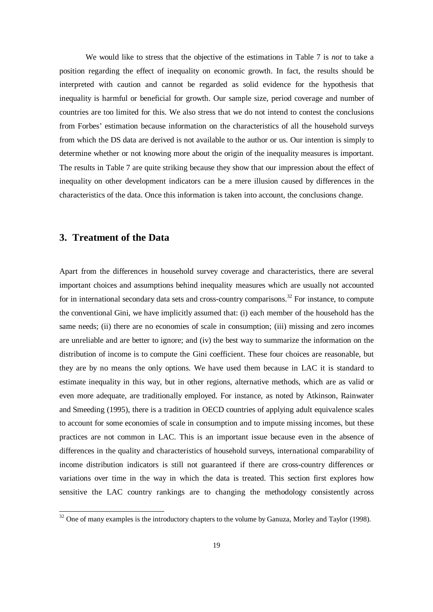We would like to stress that the objective of the estimations in Table 7 is *not* to take a position regarding the effect of inequality on economic growth. In fact, the results should be interpreted with caution and cannot be regarded as solid evidence for the hypothesis that inequality is harmful or beneficial for growth. Our sample size, period coverage and number of countries are too limited for this. We also stress that we do not intend to contest the conclusions from Forbes' estimation because information on the characteristics of all the household surveys from which the DS data are derived is not available to the author or us. Our intention is simply to determine whether or not knowing more about the origin of the inequality measures is important. The results in Table 7 are quite striking because they show that our impression about the effect of inequality on other development indicators can be a mere illusion caused by differences in the characteristics of the data. Once this information is taken into account, the conclusions change.

## **3. Treatment of the Data**

l

Apart from the differences in household survey coverage and characteristics, there are several important choices and assumptions behind inequality measures which are usually not accounted for in international secondary data sets and cross-country comparisons.<sup>32</sup> For instance, to compute the conventional Gini, we have implicitly assumed that: (i) each member of the household has the same needs; (ii) there are no economies of scale in consumption; (iii) missing and zero incomes are unreliable and are better to ignore; and (iv) the best way to summarize the information on the distribution of income is to compute the Gini coefficient. These four choices are reasonable, but they are by no means the only options. We have used them because in LAC it is standard to estimate inequality in this way, but in other regions, alternative methods, which are as valid or even more adequate, are traditionally employed. For instance, as noted by Atkinson, Rainwater and Smeeding (1995), there is a tradition in OECD countries of applying adult equivalence scales to account for some economies of scale in consumption and to impute missing incomes, but these practices are not common in LAC. This is an important issue because even in the absence of differences in the quality and characteristics of household surveys, international comparability of income distribution indicators is still not guaranteed if there are cross-country differences or variations over time in the way in which the data is treated. This section first explores how sensitive the LAC country rankings are to changing the methodology consistently across

<sup>&</sup>lt;sup>32</sup> One of many examples is the introductory chapters to the volume by Ganuza, Morley and Taylor (1998).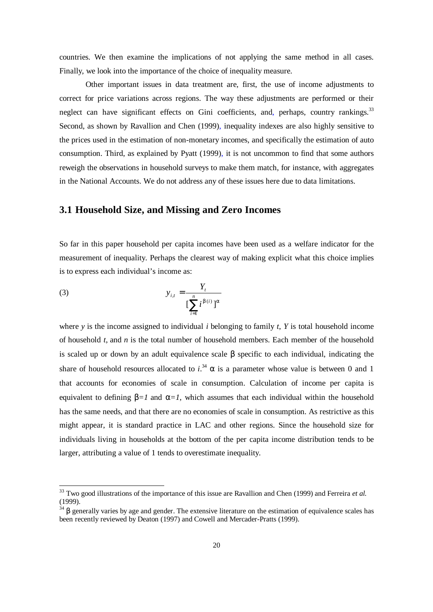countries. We then examine the implications of not applying the same method in all cases. Finally, we look into the importance of the choice of inequality measure.

Other important issues in data treatment are, first, the use of income adjustments to correct for price variations across regions. The way these adjustments are performed or their neglect can have significant effects on Gini coefficients, and, perhaps, country rankings.<sup>33</sup> Second, as shown by Ravallion and Chen (1999), inequality indexes are also highly sensitive to the prices used in the estimation of non-monetary incomes, and specifically the estimation of auto consumption. Third, as explained by Pyatt (1999), it is not uncommon to find that some authors reweigh the observations in household surveys to make them match, for instance, with aggregates in the National Accounts. We do not address any of these issues here due to data limitations.

#### **3.1 Household Size, and Missing and Zero Incomes**

So far in this paper household per capita incomes have been used as a welfare indicator for the measurement of inequality. Perhaps the clearest way of making explicit what this choice implies is to express each individual's income as:

(3) 
$$
y_{i,t} = \frac{Y_t}{\left[\sum_{i=1}^n i^{b(i)}\right]^a}
$$

l

where *y* is the income assigned to individual *i* belonging to family *t*, *Y* is total household income of household *t*, and *n* is the total number of household members. Each member of the household is scaled up or down by an adult equivalence scale β specific to each individual, indicating the share of household resources allocated to  $i^{34}$   $\alpha$  is a parameter whose value is between 0 and 1 that accounts for economies of scale in consumption. Calculation of income per capita is equivalent to defining  $\mathbf{b} = I$  and  $\mathbf{a} = I$ , which assumes that each individual within the household has the same needs, and that there are no economies of scale in consumption. As restrictive as this might appear, it is standard practice in LAC and other regions. Since the household size for individuals living in households at the bottom of the per capita income distribution tends to be larger, attributing a value of 1 tends to overestimate inequality.

<sup>33</sup> Two good illustrations of the importance of this issue are Ravallion and Chen (1999) and Ferreira *et al.* (1999).

 $34 \beta$  generally varies by age and gender. The extensive literature on the estimation of equivalence scales has been recently reviewed by Deaton (1997) and Cowell and Mercader-Pratts (1999).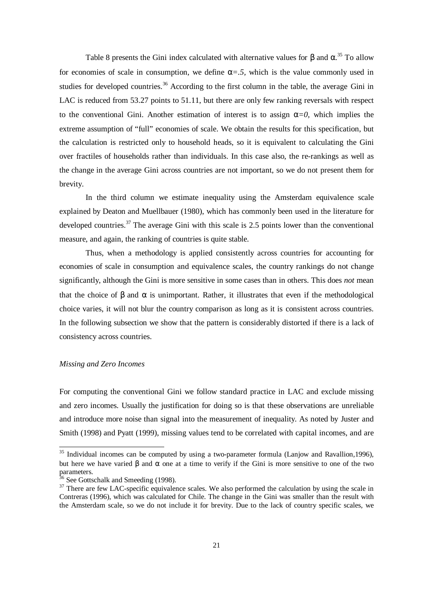Table 8 presents the Gini index calculated with alternative values for *b* and *a*. <sup>35</sup> To allow for economies of scale in consumption, we define *a=.5,* which is the value commonly used in studies for developed countries.<sup>36</sup> According to the first column in the table, the average Gini in LAC is reduced from 53.27 points to 51.11, but there are only few ranking reversals with respect to the conventional Gini. Another estimation of interest is to assign  $a=0$ , which implies the extreme assumption of "full" economies of scale. We obtain the results for this specification, but the calculation is restricted only to household heads, so it is equivalent to calculating the Gini over fractiles of households rather than individuals. In this case also, the re-rankings as well as the change in the average Gini across countries are not important, so we do not present them for brevity.

In the third column we estimate inequality using the Amsterdam equivalence scale explained by Deaton and Muellbauer (1980), which has commonly been used in the literature for developed countries.<sup>37</sup> The average Gini with this scale is 2.5 points lower than the conventional measure, and again, the ranking of countries is quite stable.

Thus, when a methodology is applied consistently across countries for accounting for economies of scale in consumption and equivalence scales, the country rankings do not change significantly, although the Gini is more sensitive in some cases than in others. This does *not* mean that the choice of *b* and *a* is unimportant. Rather, it illustrates that even if the methodological choice varies, it will not blur the country comparison as long as it is consistent across countries. In the following subsection we show that the pattern is considerably distorted if there is a lack of consistency across countries.

#### *Missing and Zero Incomes*

l

For computing the conventional Gini we follow standard practice in LAC and exclude missing and zero incomes. Usually the justification for doing so is that these observations are unreliable and introduce more noise than signal into the measurement of inequality. As noted by Juster and Smith (1998) and Pyatt (1999), missing values tend to be correlated with capital incomes, and are

 $35$  Individual incomes can be computed by using a two-parameter formula (Lanjow and Ravallion,1996), but here we have varied *b* and *a* one at a time to verify if the Gini is more sensitive to one of the two parameters.

<sup>&</sup>lt;sup>36</sup> See Gottschalk and Smeeding (1998).

<sup>&</sup>lt;sup>37</sup> There are few LAC-specific equivalence scales. We also performed the calculation by using the scale in Contreras (1996), which was calculated for Chile. The change in the Gini was smaller than the result with the Amsterdam scale, so we do not include it for brevity. Due to the lack of country specific scales, we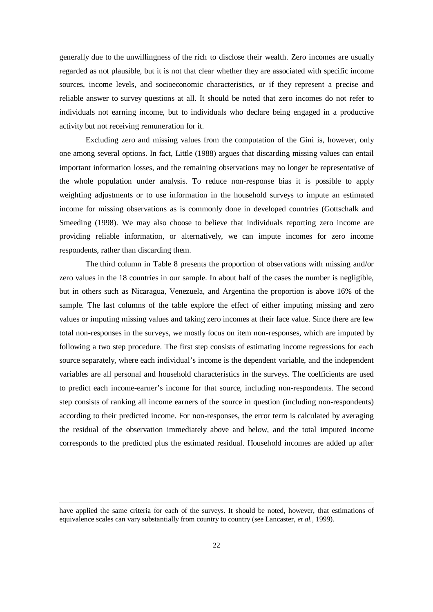generally due to the unwillingness of the rich to disclose their wealth. Zero incomes are usually regarded as not plausible, but it is not that clear whether they are associated with specific income sources, income levels, and socioeconomic characteristics, or if they represent a precise and reliable answer to survey questions at all. It should be noted that zero incomes do not refer to individuals not earning income, but to individuals who declare being engaged in a productive activity but not receiving remuneration for it.

Excluding zero and missing values from the computation of the Gini is, however, only one among several options. In fact, Little (1988) argues that discarding missing values can entail important information losses, and the remaining observations may no longer be representative of the whole population under analysis. To reduce non-response bias it is possible to apply weighting adjustments or to use information in the household surveys to impute an estimated income for missing observations as is commonly done in developed countries (Gottschalk and Smeeding (1998). We may also choose to believe that individuals reporting zero income are providing reliable information, or alternatively, we can impute incomes for zero income respondents, rather than discarding them.

The third column in Table 8 presents the proportion of observations with missing and/or zero values in the 18 countries in our sample. In about half of the cases the number is negligible, but in others such as Nicaragua, Venezuela, and Argentina the proportion is above 16% of the sample. The last columns of the table explore the effect of either imputing missing and zero values or imputing missing values and taking zero incomes at their face value. Since there are few total non-responses in the surveys, we mostly focus on item non-responses, which are imputed by following a two step procedure. The first step consists of estimating income regressions for each source separately, where each individual's income is the dependent variable, and the independent variables are all personal and household characteristics in the surveys. The coefficients are used to predict each income-earner's income for that source, including non-respondents. The second step consists of ranking all income earners of the source in question (including non-respondents) according to their predicted income. For non-responses, the error term is calculated by averaging the residual of the observation immediately above and below, and the total imputed income corresponds to the predicted plus the estimated residual. Household incomes are added up after

l

have applied the same criteria for each of the surveys. It should be noted, however, that estimations of equivalence scales can vary substantially from country to country (see Lancaster, *et al.,* 1999).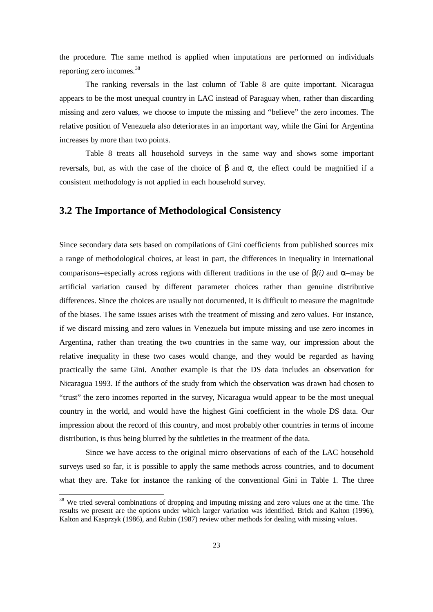the procedure. The same method is applied when imputations are performed on individuals reporting zero incomes.<sup>38</sup>

The ranking reversals in the last column of Table 8 are quite important. Nicaragua appears to be the most unequal country in LAC instead of Paraguay when, rather than discarding missing and zero values, we choose to impute the missing and "believe" the zero incomes. The relative position of Venezuela also deteriorates in an important way, while the Gini for Argentina increases by more than two points.

Table 8 treats all household surveys in the same way and shows some important reversals, but, as with the case of the choice of *b* and *a,* the effect could be magnified if a consistent methodology is not applied in each household survey.

#### **3.2 The Importance of Methodological Consistency**

Since secondary data sets based on compilations of Gini coefficients from published sources mix a range of methodological choices, at least in part, the differences in inequality in international comparisons–especially across regions with different traditions in the use of  $\mathbf{b}(i)$  and  $\mathbf{a}$ –may be artificial variation caused by different parameter choices rather than genuine distributive differences. Since the choices are usually not documented, it is difficult to measure the magnitude of the biases. The same issues arises with the treatment of missing and zero values. For instance, if we discard missing and zero values in Venezuela but impute missing and use zero incomes in Argentina, rather than treating the two countries in the same way, our impression about the relative inequality in these two cases would change, and they would be regarded as having practically the same Gini. Another example is that the DS data includes an observation for Nicaragua 1993. If the authors of the study from which the observation was drawn had chosen to "trust" the zero incomes reported in the survey, Nicaragua would appear to be the most unequal country in the world, and would have the highest Gini coefficient in the whole DS data. Our impression about the record of this country, and most probably other countries in terms of income distribution, is thus being blurred by the subtleties in the treatment of the data.

Since we have access to the original micro observations of each of the LAC household surveys used so far, it is possible to apply the same methods across countries, and to document what they are. Take for instance the ranking of the conventional Gini in Table 1. The three

l

<sup>&</sup>lt;sup>38</sup> We tried several combinations of dropping and imputing missing and zero values one at the time. The results we present are the options under which larger variation was identified. Brick and Kalton (1996), Kalton and Kasprzyk (1986), and Rubin (1987) review other methods for dealing with missing values.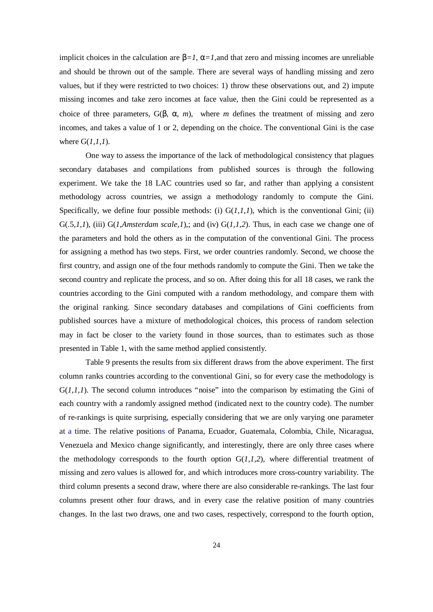implicit choices in the calculation are  $\mathbf{b} = 1$ ,  $\mathbf{a} = 1$ , and that zero and missing incomes are unreliable and should be thrown out of the sample. There are several ways of handling missing and zero values, but if they were restricted to two choices: 1) throw these observations out, and 2) impute missing incomes and take zero incomes at face value, then the Gini could be represented as a choice of three parameters, G(*b, a, m*), where *m* defines the treatment of missing and zero incomes, and takes a value of 1 or 2, depending on the choice. The conventional Gini is the case where G(*1,1,1*).

One way to assess the importance of the lack of methodological consistency that plagues secondary databases and compilations from published sources is through the following experiment. We take the 18 LAC countries used so far, and rather than applying a consistent methodology across countries, we assign a methodology randomly to compute the Gini. Specifically, we define four possible methods: (i)  $G(1,1,1)$ , which is the conventional Gini; (ii)  $G(.5,1,1)$ , (iii)  $G(1,Amsterdam scale,1)$ ,; and (iv)  $G(1,1,2)$ . Thus, in each case we change one of the parameters and hold the others as in the computation of the conventional Gini. The process for assigning a method has two steps. First, we order countries randomly. Second, we choose the first country, and assign one of the four methods randomly to compute the Gini. Then we take the second country and replicate the process, and so on. After doing this for all 18 cases, we rank the countries according to the Gini computed with a random methodology, and compare them with the original ranking. Since secondary databases and compilations of Gini coefficients from published sources have a mixture of methodological choices, this process of random selection may in fact be closer to the variety found in those sources, than to estimates such as those presented in Table 1, with the same method applied consistently.

Table 9 presents the results from six different draws from the above experiment. The first column ranks countries according to the conventional Gini, so for every case the methodology is  $G(1,1,1)$ . The second column introduces "noise" into the comparison by estimating the Gini of each country with a randomly assigned method (indicated next to the country code). The number of re-rankings is quite surprising, especially considering that we are only varying one parameter at a time. The relative positions of Panama, Ecuador, Guatemala, Colombia, Chile, Nicaragua, Venezuela and Mexico change significantly, and interestingly, there are only three cases where the methodology corresponds to the fourth option  $G(1,1,2)$ , where differential treatment of missing and zero values is allowed for, and which introduces more cross-country variability. The third column presents a second draw, where there are also considerable re-rankings. The last four columns present other four draws, and in every case the relative position of many countries changes. In the last two draws, one and two cases, respectively, correspond to the fourth option,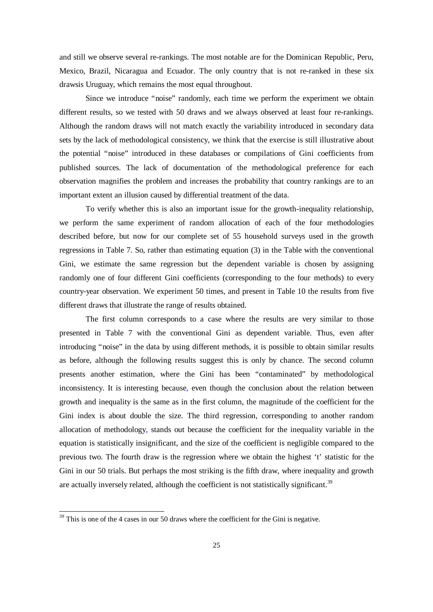and still we observe several re-rankings. The most notable are for the Dominican Republic, Peru, Mexico, Brazil, Nicaragua and Ecuador. The only country that is not re-ranked in these six drawsis Uruguay, which remains the most equal throughout.

Since we introduce "noise" randomly, each time we perform the experiment we obtain different results, so we tested with 50 draws and we always observed at least four re-rankings. Although the random draws will not match exactly the variability introduced in secondary data sets by the lack of methodological consistency, we think that the exercise is still illustrative about the potential "noise" introduced in these databases or compilations of Gini coefficients from published sources. The lack of documentation of the methodological preference for each observation magnifies the problem and increases the probability that country rankings are to an important extent an illusion caused by differential treatment of the data.

To verify whether this is also an important issue for the growth-inequality relationship, we perform the same experiment of random allocation of each of the four methodologies described before, but now for our complete set of 55 household surveys used in the growth regressions in Table 7. So, rather than estimating equation (3) in the Table with the conventional Gini, we estimate the same regression but the dependent variable is chosen by assigning randomly one of four different Gini coefficients (corresponding to the four methods) to every country-year observation. We experiment 50 times, and present in Table 10 the results from five different draws that illustrate the range of results obtained.

The first column corresponds to a case where the results are very similar to those presented in Table 7 with the conventional Gini as dependent variable. Thus, even after introducing "noise" in the data by using different methods, it is possible to obtain similar results as before, although the following results suggest this is only by chance. The second column presents another estimation, where the Gini has been "contaminated" by methodological inconsistency. It is interesting because, even though the conclusion about the relation between growth and inequality is the same as in the first column, the magnitude of the coefficient for the Gini index is about double the size. The third regression, corresponding to another random allocation of methodology, stands out because the coefficient for the inequality variable in the equation is statistically insignificant, and the size of the coefficient is negligible compared to the previous two. The fourth draw is the regression where we obtain the highest 't' statistic for the Gini in our 50 trials. But perhaps the most striking is the fifth draw, where inequality and growth are actually inversely related, although the coefficient is not statistically significant.<sup>39</sup>

l

 $39$  This is one of the 4 cases in our 50 draws where the coefficient for the Gini is negative.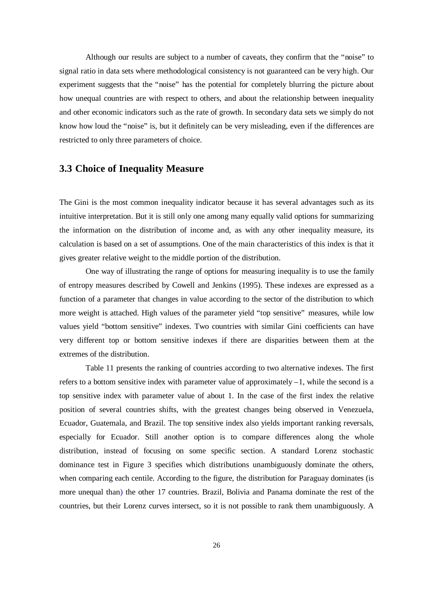Although our results are subject to a number of caveats, they confirm that the "noise" to signal ratio in data sets where methodological consistency is not guaranteed can be very high. Our experiment suggests that the "noise" has the potential for completely blurring the picture about how unequal countries are with respect to others, and about the relationship between inequality and other economic indicators such as the rate of growth. In secondary data sets we simply do not know how loud the "noise" is, but it definitely can be very misleading, even if the differences are restricted to only three parameters of choice.

### **3.3 Choice of Inequality Measure**

The Gini is the most common inequality indicator because it has several advantages such as its intuitive interpretation. But it is still only one among many equally valid options for summarizing the information on the distribution of income and, as with any other inequality measure, its calculation is based on a set of assumptions. One of the main characteristics of this index is that it gives greater relative weight to the middle portion of the distribution.

One way of illustrating the range of options for measuring inequality is to use the family of entropy measures described by Cowell and Jenkins (1995). These indexes are expressed as a function of a parameter that changes in value according to the sector of the distribution to which more weight is attached. High values of the parameter yield "top sensitive" measures, while low values yield "bottom sensitive" indexes. Two countries with similar Gini coefficients can have very different top or bottom sensitive indexes if there are disparities between them at the extremes of the distribution.

Table 11 presents the ranking of countries according to two alternative indexes. The first refers to a bottom sensitive index with parameter value of approximately  $-1$ , while the second is a top sensitive index with parameter value of about 1. In the case of the first index the relative position of several countries shifts, with the greatest changes being observed in Venezuela, Ecuador, Guatemala, and Brazil. The top sensitive index also yields important ranking reversals, especially for Ecuador. Still another option is to compare differences along the whole distribution, instead of focusing on some specific section. A standard Lorenz stochastic dominance test in Figure 3 specifies which distributions unambiguously dominate the others, when comparing each centile. According to the figure, the distribution for Paraguay dominates (is more unequal than) the other 17 countries. Brazil, Bolivia and Panama dominate the rest of the countries, but their Lorenz curves intersect, so it is not possible to rank them unambiguously. A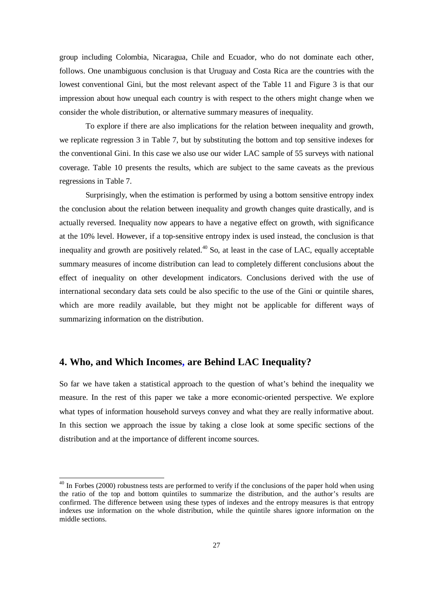group including Colombia, Nicaragua, Chile and Ecuador, who do not dominate each other, follows. One unambiguous conclusion is that Uruguay and Costa Rica are the countries with the lowest conventional Gini, but the most relevant aspect of the Table 11 and Figure 3 is that our impression about how unequal each country is with respect to the others might change when we consider the whole distribution, or alternative summary measures of inequality.

To explore if there are also implications for the relation between inequality and growth, we replicate regression 3 in Table 7, but by substituting the bottom and top sensitive indexes for the conventional Gini. In this case we also use our wider LAC sample of 55 surveys with national coverage. Table 10 presents the results, which are subject to the same caveats as the previous regressions in Table 7.

Surprisingly, when the estimation is performed by using a bottom sensitive entropy index the conclusion about the relation between inequality and growth changes quite drastically, and is actually reversed. Inequality now appears to have a negative effect on growth, with significance at the 10% level. However, if a top-sensitive entropy index is used instead, the conclusion is that inequality and growth are positively related.<sup>40</sup> So, at least in the case of LAC, equally acceptable summary measures of income distribution can lead to completely different conclusions about the effect of inequality on other development indicators. Conclusions derived with the use of international secondary data sets could be also specific to the use of the Gini or quintile shares, which are more readily available, but they might not be applicable for different ways of summarizing information on the distribution.

### **4. Who, and Which Incomes, are Behind LAC Inequality?**

l

So far we have taken a statistical approach to the question of what's behind the inequality we measure. In the rest of this paper we take a more economic-oriented perspective. We explore what types of information household surveys convey and what they are really informative about. In this section we approach the issue by taking a close look at some specific sections of the distribution and at the importance of different income sources.

 $40$  In Forbes (2000) robustness tests are performed to verify if the conclusions of the paper hold when using the ratio of the top and bottom quintiles to summarize the distribution, and the author's results are confirmed. The difference between using these types of indexes and the entropy measures is that entropy indexes use information on the whole distribution, while the quintile shares ignore information on the middle sections.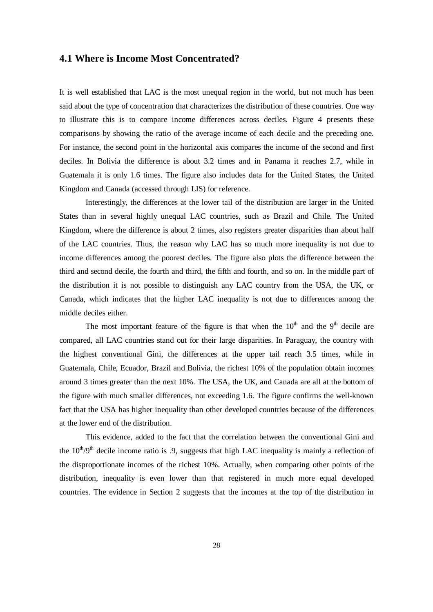#### **4.1 Where is Income Most Concentrated?**

It is well established that LAC is the most unequal region in the world, but not much has been said about the type of concentration that characterizes the distribution of these countries. One way to illustrate this is to compare income differences across deciles. Figure 4 presents these comparisons by showing the ratio of the average income of each decile and the preceding one. For instance, the second point in the horizontal axis compares the income of the second and first deciles. In Bolivia the difference is about 3.2 times and in Panama it reaches 2.7, while in Guatemala it is only 1.6 times. The figure also includes data for the United States, the United Kingdom and Canada (accessed through LIS) for reference.

Interestingly, the differences at the lower tail of the distribution are larger in the United States than in several highly unequal LAC countries, such as Brazil and Chile. The United Kingdom, where the difference is about 2 times, also registers greater disparities than about half of the LAC countries. Thus, the reason why LAC has so much more inequality is not due to income differences among the poorest deciles. The figure also plots the difference between the third and second decile, the fourth and third, the fifth and fourth, and so on. In the middle part of the distribution it is not possible to distinguish any LAC country from the USA, the UK, or Canada, which indicates that the higher LAC inequality is not due to differences among the middle deciles either.

The most important feature of the figure is that when the  $10<sup>th</sup>$  and the  $9<sup>th</sup>$  decile are compared, all LAC countries stand out for their large disparities. In Paraguay, the country with the highest conventional Gini, the differences at the upper tail reach 3.5 times, while in Guatemala, Chile, Ecuador, Brazil and Bolivia, the richest 10% of the population obtain incomes around 3 times greater than the next 10%. The USA, the UK, and Canada are all at the bottom of the figure with much smaller differences, not exceeding 1.6. The figure confirms the well-known fact that the USA has higher inequality than other developed countries because of the differences at the lower end of the distribution.

This evidence, added to the fact that the correlation between the conventional Gini and the  $10^{th}/9^{th}$  decile income ratio is .9, suggests that high LAC inequality is mainly a reflection of the disproportionate incomes of the richest 10%. Actually, when comparing other points of the distribution, inequality is even lower than that registered in much more equal developed countries. The evidence in Section 2 suggests that the incomes at the top of the distribution in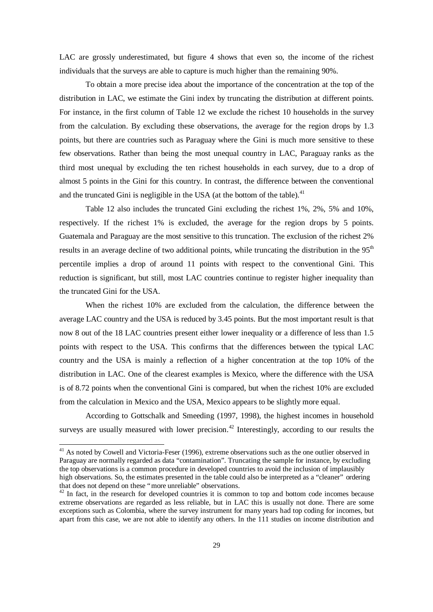LAC are grossly underestimated, but figure 4 shows that even so, the income of the richest individuals that the surveys are able to capture is much higher than the remaining 90%.

To obtain a more precise idea about the importance of the concentration at the top of the distribution in LAC, we estimate the Gini index by truncating the distribution at different points. For instance, in the first column of Table 12 we exclude the richest 10 households in the survey from the calculation. By excluding these observations, the average for the region drops by 1.3 points, but there are countries such as Paraguay where the Gini is much more sensitive to these few observations. Rather than being the most unequal country in LAC, Paraguay ranks as the third most unequal by excluding the ten richest households in each survey, due to a drop of almost 5 points in the Gini for this country. In contrast, the difference between the conventional and the truncated Gini is negligible in the USA (at the bottom of the table). $41$ 

Table 12 also includes the truncated Gini excluding the richest 1%, 2%, 5% and 10%, respectively. If the richest 1% is excluded, the average for the region drops by 5 points. Guatemala and Paraguay are the most sensitive to this truncation. The exclusion of the richest 2% results in an average decline of two additional points, while truncating the distribution in the 95<sup>th</sup> percentile implies a drop of around 11 points with respect to the conventional Gini. This reduction is significant, but still, most LAC countries continue to register higher inequality than the truncated Gini for the USA.

When the richest 10% are excluded from the calculation, the difference between the average LAC country and the USA is reduced by 3.45 points. But the most important result is that now 8 out of the 18 LAC countries present either lower inequality or a difference of less than 1.5 points with respect to the USA. This confirms that the differences between the typical LAC country and the USA is mainly a reflection of a higher concentration at the top 10% of the distribution in LAC. One of the clearest examples is Mexico, where the difference with the USA is of 8.72 points when the conventional Gini is compared, but when the richest 10% are excluded from the calculation in Mexico and the USA, Mexico appears to be slightly more equal.

According to Gottschalk and Smeeding (1997, 1998), the highest incomes in household surveys are usually measured with lower precision.<sup>42</sup> Interestingly, according to our results the

-

 $41$  As noted by Cowell and Victoria-Feser (1996), extreme observations such as the one outlier observed in Paraguay are normally regarded as data "contamination". Truncating the sample for instance, by excluding the top observations is a common procedure in developed countries to avoid the inclusion of implausibly high observations. So, the estimates presented in the table could also be interpreted as a "cleaner" ordering that does not depend on these "more unreliable" observations.

 $42$  In fact, in the research for developed countries it is common to top and bottom code incomes because extreme observations are regarded as less reliable, but in LAC this is usually not done. There are some exceptions such as Colombia, where the survey instrument for many years had top coding for incomes, but apart from this case, we are not able to identify any others. In the 111 studies on income distribution and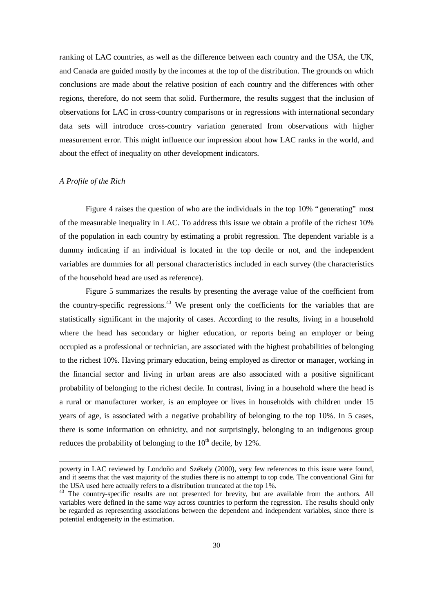ranking of LAC countries, as well as the difference between each country and the USA, the UK, and Canada are guided mostly by the incomes at the top of the distribution. The grounds on which conclusions are made about the relative position of each country and the differences with other regions, therefore, do not seem that solid. Furthermore, the results suggest that the inclusion of observations for LAC in cross-country comparisons or in regressions with international secondary data sets will introduce cross-country variation generated from observations with higher measurement error. This might influence our impression about how LAC ranks in the world, and about the effect of inequality on other development indicators.

#### *A Profile of the Rich*

l

Figure 4 raises the question of who are the individuals in the top 10% "generating" most of the measurable inequality in LAC. To address this issue we obtain a profile of the richest 10% of the population in each country by estimating a probit regression. The dependent variable is a dummy indicating if an individual is located in the top decile or not, and the independent variables are dummies for all personal characteristics included in each survey (the characteristics of the household head are used as reference).

Figure 5 summarizes the results by presenting the average value of the coefficient from the country-specific regressions.<sup>43</sup> We present only the coefficients for the variables that are statistically significant in the majority of cases. According to the results, living in a household where the head has secondary or higher education, or reports being an employer or being occupied as a professional or technician, are associated with the highest probabilities of belonging to the richest 10%. Having primary education, being employed as director or manager, working in the financial sector and living in urban areas are also associated with a positive significant probability of belonging to the richest decile. In contrast, living in a household where the head is a rural or manufacturer worker, is an employee or lives in households with children under 15 years of age, is associated with a negative probability of belonging to the top 10%. In 5 cases, there is some information on ethnicity, and not surprisingly, belonging to an indigenous group reduces the probability of belonging to the  $10<sup>th</sup>$  decile, by 12%.

poverty in LAC reviewed by Londoño and Székely (2000), very few references to this issue were found, and it seems that the vast majority of the studies there is no attempt to top code. The conventional Gini for the USA used here actually refers to a distribution truncated at the top 1%.

<sup>&</sup>lt;sup>43</sup> The country-specific results are not presented for brevity, but are available from the authors. All variables were defined in the same way across countries to perform the regression. The results should only be regarded as representing associations between the dependent and independent variables, since there is potential endogeneity in the estimation.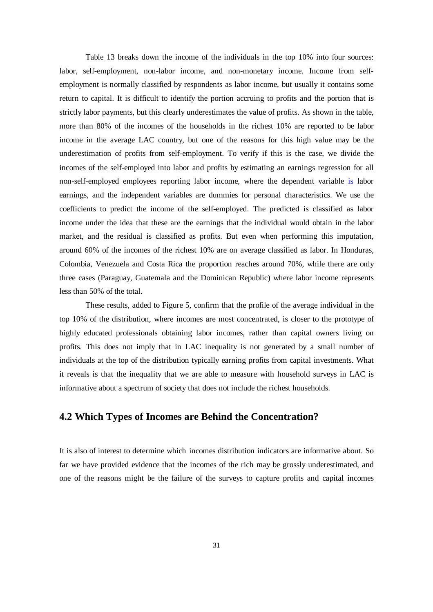Table 13 breaks down the income of the individuals in the top 10% into four sources: labor, self-employment, non-labor income, and non-monetary income. Income from selfemployment is normally classified by respondents as labor income, but usually it contains some return to capital. It is difficult to identify the portion accruing to profits and the portion that is strictly labor payments, but this clearly underestimates the value of profits. As shown in the table, more than 80% of the incomes of the households in the richest 10% are reported to be labor income in the average LAC country, but one of the reasons for this high value may be the underestimation of profits from self-employment. To verify if this is the case, we divide the incomes of the self-employed into labor and profits by estimating an earnings regression for all non-self-employed employees reporting labor income, where the dependent variable is labor earnings, and the independent variables are dummies for personal characteristics. We use the coefficients to predict the income of the self-employed. The predicted is classified as labor income under the idea that these are the earnings that the individual would obtain in the labor market, and the residual is classified as profits. But even when performing this imputation, around 60% of the incomes of the richest 10% are on average classified as labor. In Honduras, Colombia, Venezuela and Costa Rica the proportion reaches around 70%, while there are only three cases (Paraguay, Guatemala and the Dominican Republic) where labor income represents less than 50% of the total.

These results, added to Figure 5, confirm that the profile of the average individual in the top 10% of the distribution, where incomes are most concentrated, is closer to the prototype of highly educated professionals obtaining labor incomes, rather than capital owners living on profits. This does not imply that in LAC inequality is not generated by a small number of individuals at the top of the distribution typically earning profits from capital investments. What it reveals is that the inequality that we are able to measure with household surveys in LAC is informative about a spectrum of society that does not include the richest households.

### **4.2 Which Types of Incomes are Behind the Concentration?**

It is also of interest to determine which incomes distribution indicators are informative about. So far we have provided evidence that the incomes of the rich may be grossly underestimated, and one of the reasons might be the failure of the surveys to capture profits and capital incomes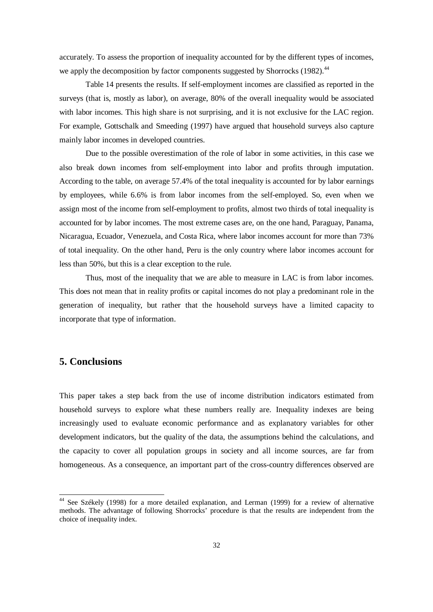accurately. To assess the proportion of inequality accounted for by the different types of incomes, we apply the decomposition by factor components suggested by Shorrocks (1982).<sup>44</sup>

Table 14 presents the results. If self-employment incomes are classified as reported in the surveys (that is, mostly as labor), on average, 80% of the overall inequality would be associated with labor incomes. This high share is not surprising, and it is not exclusive for the LAC region. For example, Gottschalk and Smeeding (1997) have argued that household surveys also capture mainly labor incomes in developed countries.

Due to the possible overestimation of the role of labor in some activities, in this case we also break down incomes from self-employment into labor and profits through imputation. According to the table, on average 57.4% of the total inequality is accounted for by labor earnings by employees, while 6.6% is from labor incomes from the self-employed. So, even when we assign most of the income from self-employment to profits, almost two thirds of total inequality is accounted for by labor incomes. The most extreme cases are, on the one hand, Paraguay, Panama, Nicaragua, Ecuador, Venezuela, and Costa Rica, where labor incomes account for more than 73% of total inequality. On the other hand, Peru is the only country where labor incomes account for less than 50%, but this is a clear exception to the rule.

Thus, most of the inequality that we are able to measure in LAC is from labor incomes. This does not mean that in reality profits or capital incomes do not play a predominant role in the generation of inequality, but rather that the household surveys have a limited capacity to incorporate that type of information.

### **5. Conclusions**

l

This paper takes a step back from the use of income distribution indicators estimated from household surveys to explore what these numbers really are. Inequality indexes are being increasingly used to evaluate economic performance and as explanatory variables for other development indicators, but the quality of the data, the assumptions behind the calculations, and the capacity to cover all population groups in society and all income sources, are far from homogeneous. As a consequence, an important part of the cross-country differences observed are

<sup>&</sup>lt;sup>44</sup> See Székely (1998) for a more detailed explanation, and Lerman (1999) for a review of alternative methods. The advantage of following Shorrocks' procedure is that the results are independent from the choice of inequality index.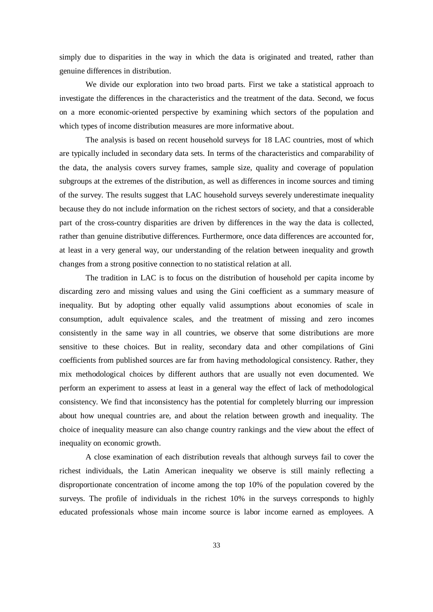simply due to disparities in the way in which the data is originated and treated, rather than genuine differences in distribution.

We divide our exploration into two broad parts. First we take a statistical approach to investigate the differences in the characteristics and the treatment of the data. Second, we focus on a more economic-oriented perspective by examining which sectors of the population and which types of income distribution measures are more informative about.

The analysis is based on recent household surveys for 18 LAC countries, most of which are typically included in secondary data sets. In terms of the characteristics and comparability of the data, the analysis covers survey frames, sample size, quality and coverage of population subgroups at the extremes of the distribution, as well as differences in income sources and timing of the survey. The results suggest that LAC household surveys severely underestimate inequality because they do not include information on the richest sectors of society, and that a considerable part of the cross-country disparities are driven by differences in the way the data is collected, rather than genuine distributive differences. Furthermore, once data differences are accounted for, at least in a very general way, our understanding of the relation between inequality and growth changes from a strong positive connection to no statistical relation at all.

The tradition in LAC is to focus on the distribution of household per capita income by discarding zero and missing values and using the Gini coefficient as a summary measure of inequality. But by adopting other equally valid assumptions about economies of scale in consumption, adult equivalence scales, and the treatment of missing and zero incomes consistently in the same way in all countries, we observe that some distributions are more sensitive to these choices. But in reality, secondary data and other compilations of Gini coefficients from published sources are far from having methodological consistency. Rather, they mix methodological choices by different authors that are usually not even documented. We perform an experiment to assess at least in a general way the effect of lack of methodological consistency. We find that inconsistency has the potential for completely blurring our impression about how unequal countries are, and about the relation between growth and inequality. The choice of inequality measure can also change country rankings and the view about the effect of inequality on economic growth.

A close examination of each distribution reveals that although surveys fail to cover the richest individuals, the Latin American inequality we observe is still mainly reflecting a disproportionate concentration of income among the top 10% of the population covered by the surveys. The profile of individuals in the richest 10% in the surveys corresponds to highly educated professionals whose main income source is labor income earned as employees. A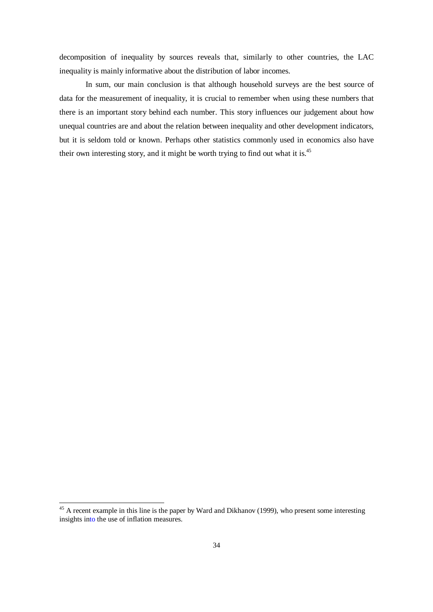decomposition of inequality by sources reveals that, similarly to other countries, the LAC inequality is mainly informative about the distribution of labor incomes.

In sum, our main conclusion is that although household surveys are the best source of data for the measurement of inequality, it is crucial to remember when using these numbers that there is an important story behind each number. This story influences our judgement about how unequal countries are and about the relation between inequality and other development indicators, but it is seldom told or known. Perhaps other statistics commonly used in economics also have their own interesting story, and it might be worth trying to find out what it is.<sup>45</sup>

l

 $45$  A recent example in this line is the paper by Ward and Dikhanov (1999), who present some interesting insights into the use of inflation measures.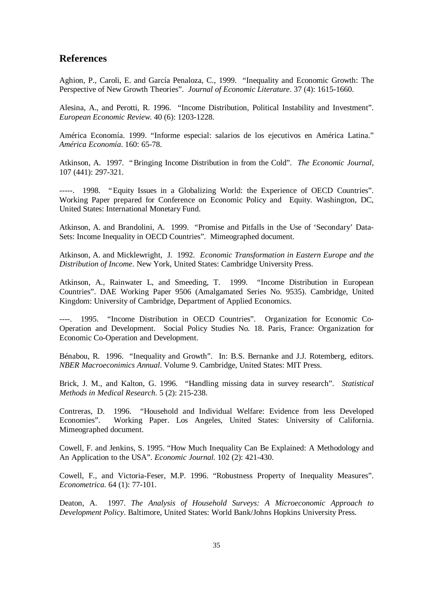#### **References**

Aghion, P., Caroli, E. and García Penaloza, C., 1999. "Inequality and Economic Growth: The Perspective of New Growth Theories". *Journal of Economic Literature*. 37 (4): 1615-1660.

Alesina, A., and Perotti, R. 1996. "Income Distribution, Political Instability and Investment". *European Economic Review*. 40 (6): 1203-1228.

América Economía. 1999. "Informe especial: salarios de los ejecutivos en América Latina." *América Economía*. 160: 65-78.

Atkinson, A. 1997. "Bringing Income Distribution in from the Cold". *The Economic Journal*, 107 (441): 297-321.

-----. 1998. "Equity Issues in a Globalizing World: the Experience of OECD Countries". Working Paper prepared for Conference on Economic Policy and Equity. Washington, DC, United States: International Monetary Fund.

Atkinson, A. and Brandolini, A. 1999. "Promise and Pitfalls in the Use of 'Secondary' Data-Sets: Income Inequality in OECD Countries". Mimeographed document.

Atkinson, A. and Micklewright, J. 1992. *Economic Transformation in Eastern Europe and the Distribution of Income*. New York, United States: Cambridge University Press.

Atkinson, A., Rainwater L, and Smeeding, T. 1999. "Income Distribution in European Countries". DAE Working Paper 9506 (Amalgamated Series No. 9535). Cambridge, United Kingdom: University of Cambridge, Department of Applied Economics.

----. 1995. "Income Distribution in OECD Countries". Organization for Economic Co-Operation and Development. Social Policy Studies No. 18. Paris, France: Organization for Economic Co-Operation and Development.

Bénabou, R. 1996. "Inequality and Growth". In: B.S. Bernanke and J.J. Rotemberg, editors. *NBER Macroeconimics Annual*. Volume 9. Cambridge, United States: MIT Press.

Brick, J. M., and Kalton, G. 1996. "Handling missing data in survey research". *Statistical Methods in Medical Research*. 5 (2): 215-238.

Contreras, D. 1996. "Household and Individual Welfare: Evidence from less Developed Economies". Working Paper. Los Angeles, United States: University of California. Mimeographed document.

Cowell, F. and Jenkins, S. 1995. "How Much Inequality Can Be Explained: A Methodology and An Application to the USA". *Economic Journal*. 102 (2): 421-430.

Cowell, F., and Victoria-Feser, M.P. 1996. "Robustness Property of Inequality Measures". *Econometrica*. 64 (1): 77-101.

Deaton, A. 1997. *The Analysis of Household Surveys: A Microeconomic Approach to Development Policy*. Baltimore, United States: World Bank/Johns Hopkins University Press.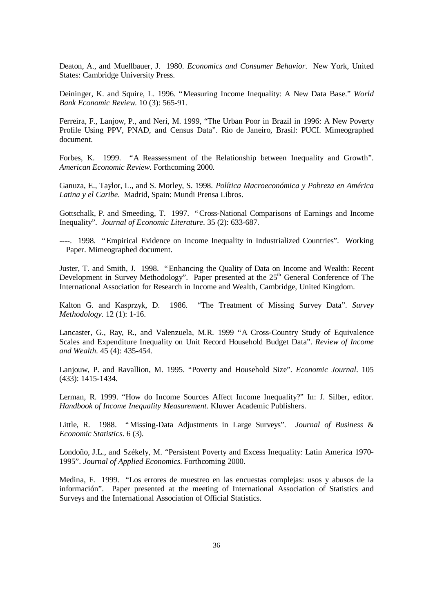Deaton, A., and Muellbauer, J. 1980. *Economics and Consumer Behavior*. New York, United States: Cambridge University Press.

Deininger, K. and Squire, L. 1996. "Measuring Income Inequality: A New Data Base." *World Bank Economic Review*. 10 (3): 565-91.

Ferreira, F., Lanjow, P., and Neri, M. 1999, "The Urban Poor in Brazil in 1996: A New Poverty Profile Using PPV, PNAD, and Census Data". Rio de Janeiro, Brasil: PUCI. Mimeographed document.

Forbes, K. 1999. "A Reassessment of the Relationship between Inequality and Growth". *American Economic Review*. Forthcoming 2000*.*

Ganuza, E., Taylor, L., and S. Morley, S. 1998. *Política Macroeconómica y Pobreza en América Latina y el Caribe*. Madrid, Spain: Mundi Prensa Libros.

Gottschalk, P. and Smeeding, T. 1997. "Cross-National Comparisons of Earnings and Income Inequality". *Journal of Economic Literature*. 35 (2): 633-687.

----. 1998. "Empirical Evidence on Income Inequality in Industrialized Countries". Working Paper. Mimeographed document.

Juster, T. and Smith, J. 1998. "Enhancing the Quality of Data on Income and Wealth: Recent Development in Survey Methodology". Paper presented at the 25<sup>th</sup> General Conference of The International Association for Research in Income and Wealth, Cambridge, United Kingdom.

Kalton G. and Kasprzyk, D. 1986. "The Treatment of Missing Survey Data". *Survey Methodology.* 12 (1): 1-16.

Lancaster, G., Ray, R., and Valenzuela, M.R. 1999 "A Cross-Country Study of Equivalence Scales and Expenditure Inequality on Unit Record Household Budget Data". *Review of Income and Wealth*. 45 (4): 435-454.

Lanjouw, P. and Ravallion, M. 1995. "Poverty and Household Size". *Economic Journal*. 105 (433): 1415-1434.

Lerman, R. 1999. "How do Income Sources Affect Income Inequality?" In: J. Silber, editor. *Handbook of Income Inequality Measurement*. Kluwer Academic Publishers.

Little, R. 1988. "Missing-Data Adjustments in Large Surveys". *Journal of Business* & *Economic Statistics*. 6 (3).

Londoño, J.L., and Székely, M. "Persistent Poverty and Excess Inequality: Latin America 1970- 1995". *Journal of Applied Economics*. Forthcoming 2000.

Medina, F. 1999. "Los errores de muestreo en las encuestas complejas: usos y abusos de la información". Paper presented at the meeting of International Association of Statistics and Surveys and the International Association of Official Statistics.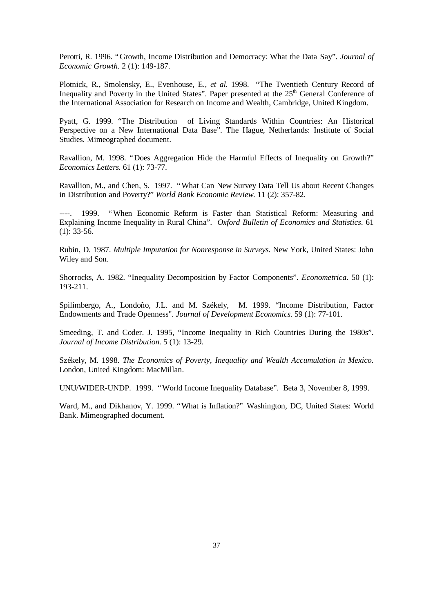Perotti, R. 1996. "Growth, Income Distribution and Democracy: What the Data Say". *Journal of Economic Growth*. 2 (1): 149-187.

Plotnick, R., Smolensky, E., Evenhouse, E., *et al.* 1998. "The Twentieth Century Record of Inequality and Poverty in the United States". Paper presented at the 25<sup>th</sup> General Conference of the International Association for Research on Income and Wealth, Cambridge, United Kingdom.

Pyatt, G. 1999. "The Distribution of Living Standards Within Countries: An Historical Perspective on a New International Data Base". The Hague, Netherlands: Institute of Social Studies. Mimeographed document.

Ravallion, M. 1998. "Does Aggregation Hide the Harmful Effects of Inequality on Growth?" *Economics Letters*. 61 (1): 73-77.

Ravallion, M., and Chen, S. 1997. "What Can New Survey Data Tell Us about Recent Changes in Distribution and Poverty?" *World Bank Economic Review*. 11 (2): 357-82.

1999. "When Economic Reform is Faster than Statistical Reform: Measuring and Explaining Income Inequality in Rural China". *Oxford Bulletin of Economics and Statistics*. 61 (1): 33-56.

Rubin, D. 1987. *Multiple Imputation for Nonresponse in Surveys*. New York, United States: John Wiley and Son.

Shorrocks, A. 1982. "Inequality Decomposition by Factor Components". *Econometrica*. 50 (1): 193-211.

Spilimbergo, A., Londoño, J.L. and M. Székely, M. 1999. "Income Distribution, Factor Endowments and Trade Openness". *Journal of Development Economics*. 59 (1): 77-101.

Smeeding, T. and Coder. J. 1995, "Income Inequality in Rich Countries During the 1980s". *Journal of Income Distribution*. 5 (1): 13-29.

Székely, M. 1998. *The Economics of Poverty, Inequality and Wealth Accumulation in Mexico.* London, United Kingdom: MacMillan.

UNU/WIDER-UNDP. 1999. "World Income Inequality Database". Beta 3, November 8, 1999.

Ward, M., and Dikhanov, Y. 1999. "What is Inflation?" Washington, DC, United States: World Bank. Mimeographed document.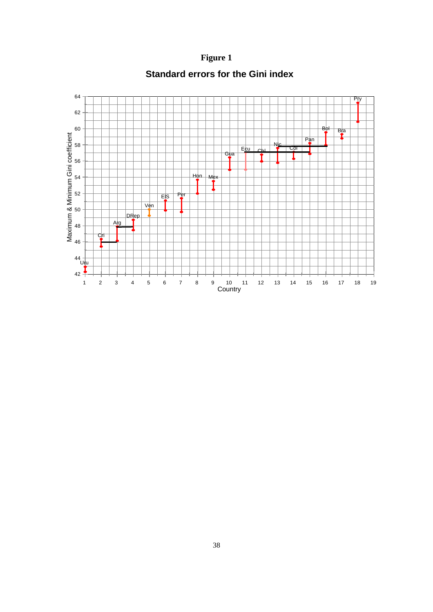**Figure 1**



**Standard errors for the Gini index**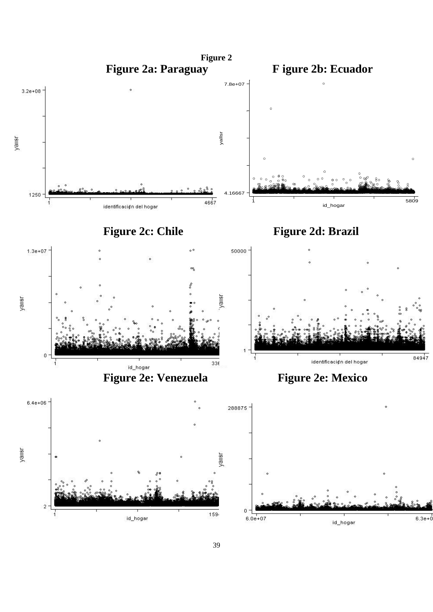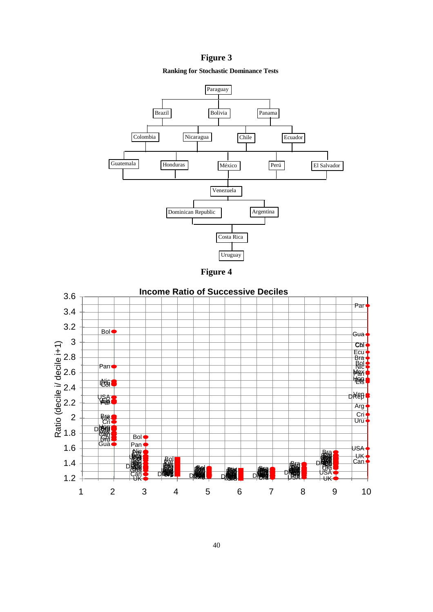### **Figure 3**

#### **Ranking for Stochastic Dominance Tests**



**Figure 4**

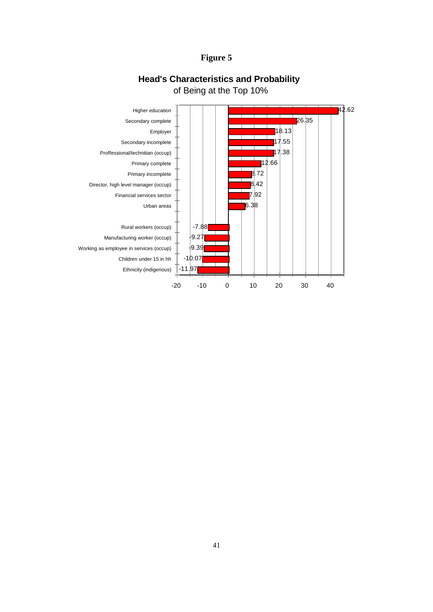### **Figure 5**



## **Head's Characteristics and Probability** of Being at the Top 10%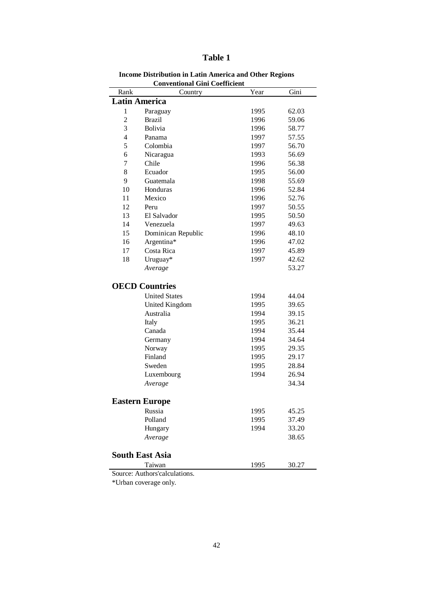| ٠<br>u<br>н |  |
|-------------|--|
|-------------|--|

| Rank                 | Country                       | Year | Gini  |
|----------------------|-------------------------------|------|-------|
| <b>Latin America</b> |                               |      |       |
| 1                    | Paraguay                      | 1995 | 62.03 |
| $\overline{c}$       | <b>Brazil</b>                 | 1996 | 59.06 |
| 3                    | <b>Bolivia</b>                | 1996 | 58.77 |
| $\overline{4}$       | Panama                        | 1997 | 57.55 |
| 5                    | Colombia                      | 1997 | 56.70 |
| 6                    | Nicaragua                     | 1993 | 56.69 |
| $\overline{7}$       | Chile                         | 1996 | 56.38 |
| 8                    | Ecuador                       | 1995 | 56.00 |
| 9                    | Guatemala                     | 1998 | 55.69 |
| 10                   | Honduras                      | 1996 | 52.84 |
| 11                   | Mexico                        | 1996 | 52.76 |
| 12                   | Peru                          | 1997 | 50.55 |
| 13                   | El Salvador                   | 1995 | 50.50 |
| 14                   | Venezuela                     | 1997 | 49.63 |
| 15                   | Dominican Republic            | 1996 | 48.10 |
| 16                   | Argentina*                    | 1996 | 47.02 |
| 17                   | Costa Rica                    | 1997 | 45.89 |
| 18                   | Uruguay*                      | 1997 | 42.62 |
|                      | Average                       |      | 53.27 |
|                      |                               |      |       |
|                      | <b>OECD Countries</b>         |      |       |
|                      | <b>United States</b>          | 1994 | 44.04 |
|                      | United Kingdom                | 1995 | 39.65 |
|                      | Australia                     | 1994 | 39.15 |
|                      | Italy                         | 1995 | 36.21 |
|                      | Canada                        | 1994 | 35.44 |
|                      | Germany                       | 1994 | 34.64 |
|                      | Norway                        | 1995 | 29.35 |
|                      | Finland                       | 1995 | 29.17 |
|                      | Sweden                        | 1995 | 28.84 |
|                      | Luxembourg                    | 1994 | 26.94 |
|                      | Average                       |      | 34.34 |
|                      |                               |      |       |
|                      | <b>Eastern Europe</b>         |      |       |
|                      | Russia                        | 1995 | 45.25 |
|                      | Polland                       | 1995 | 37.49 |
|                      | Hungary                       | 1994 | 33.20 |
|                      | Average                       |      | 38.65 |
|                      |                               |      |       |
|                      | <b>South East Asia</b>        |      |       |
|                      | Taiwan                        | 1995 | 30.27 |
|                      | Source: Authors'calculations. |      |       |

 **Income Distribution in Latin America and Other Regions Conventional Gini Coefficient**

\*Urban coverage only.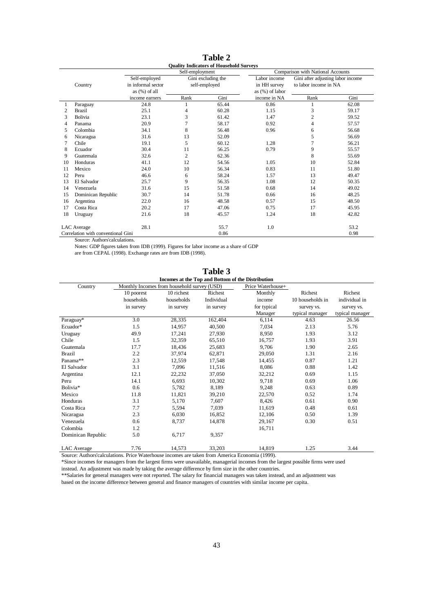|    |                                    |                    |                 | <b>Ouality Indicators of Household Surveys</b> |                    |                                   |       |
|----|------------------------------------|--------------------|-----------------|------------------------------------------------|--------------------|-----------------------------------|-------|
|    |                                    |                    | Self-employment |                                                |                    | Comparison with National Accounts |       |
|    |                                    | Self-employed      |                 | Gini excluding the                             | Labor income       | Gini after adjusting labor income |       |
|    | Country                            | in informal sector |                 | self-employed                                  | in HH survey       | to labor income in NA             |       |
|    |                                    | as $(\%)$ of all   |                 |                                                | as $(\%)$ of labor |                                   |       |
|    |                                    | income earners     | Rank            | Gini                                           | income in NA       | Rank                              | Gini  |
|    | Paraguay                           | 24.8               | 1               | 65.44                                          | 0.86               | 1                                 | 62.08 |
| 2  | Brazil                             | 25.1               | 4               | 60.28                                          | 1.15               | 3                                 | 59.17 |
| 3  | <b>Bolivia</b>                     | 23.1               | 3               | 61.42                                          | 1.47               | $\overline{c}$                    | 59.52 |
| 4  | Panama                             | 20.9               | 7               | 58.17                                          | 0.92               | 4                                 | 57.57 |
| 5  | Colombia                           | 34.1               | 8               | 56.48                                          | 0.96               | 6                                 | 56.68 |
| 6  | Nicaragua                          | 31.6               | 13              | 52.09                                          |                    | 5                                 | 56.69 |
| 7  | Chile                              | 19.1               | 5               | 60.12                                          | 1.28               | 7                                 | 56.21 |
| 8  | Ecuador                            | 30.4               | 11              | 56.25                                          | 0.79               | 9                                 | 55.57 |
| 9  | Guatemala                          | 32.6               | $\overline{c}$  | 62.36                                          |                    | 8                                 | 55.69 |
| 10 | Honduras                           | 41.1               | 12              | 54.56                                          | 1.05               | 10                                | 52.84 |
| 11 | Mexico                             | 24.0               | 10              | 56.34                                          | 0.83               | 11                                | 51.80 |
| 12 | Peru                               | 46.6               | 6               | 58.24                                          | 1.57               | 13                                | 49.47 |
| 13 | El Salvador                        | 25.7               | 9               | 56.35                                          | 1.08               | 12                                | 50.35 |
| 14 | Venezuela                          | 31.6               | 15              | 51.58                                          | 0.68               | 14                                | 49.02 |
| 15 | Dominican Republic                 | 30.7               | 14              | 51.78                                          | 0.66               | 16                                | 48.25 |
| 16 | Argentina                          | 22.0               | 16              | 48.58                                          | 0.57               | 15                                | 48.50 |
| 17 | Costa Rica                         | 20.2               | 17              | 47.06                                          | 0.75               | 17                                | 45.95 |
| 18 | Uruguay                            | 21.6               | 18              | 45.57                                          | 1.24               | 18                                | 42.82 |
|    |                                    |                    |                 |                                                |                    |                                   |       |
|    | <b>LAC</b> Average                 | 28.1               |                 | 55.7                                           | 1.0                |                                   | 53.2  |
|    | Correlation with conventional Gini |                    |                 | 0.86                                           |                    |                                   | 0.98  |

**Table 2**

Source: Authors'calculations.

Notes: GDP figures taken from IDB (1999). Figures for labor income as a share of GDP

are from CEPAL (1998). Exchange rates are from IDB (1998).

|                    |            |                                             |            | Incomes at the Top and Bottom of the Distribution |                  |                 |
|--------------------|------------|---------------------------------------------|------------|---------------------------------------------------|------------------|-----------------|
| Country            |            | Monthly Incomes from household survey (USD) |            | Price Waterhouse+                                 |                  |                 |
|                    | 10 poorest | 10 richest                                  | Richest    | Monthly                                           | Richest          | Richest         |
|                    | households | households                                  | Individual | income                                            | 10 households in | individual in   |
|                    | in survey  | in survey                                   | in survey  | for typical                                       | survey vs.       | survey vs.      |
|                    |            |                                             |            | Manager                                           | typical manager  | typical manager |
| Paraguay*          | 3.0        | 28,335                                      | 162,404    | 6,114                                             | 4.63             | 26.56           |
| Ecuador*           | 1.5        | 14,957                                      | 40,500     | 7,034                                             | 2.13             | 5.76            |
| Uruguay            | 49.9       | 17,241                                      | 27,930     | 8,950                                             | 1.93             | 3.12            |
| Chile              | 1.5        | 32,359                                      | 65,510     | 16,757                                            | 1.93             | 3.91            |
| Guatemala          | 17.7       | 18,436                                      | 25,683     | 9,706                                             | 1.90             | 2.65            |
| <b>Brazil</b>      | 2.2        | 37,974                                      | 62,871     | 29,050                                            | 1.31             | 2.16            |
| Panama**           | 2.3        | 12,559                                      | 17,548     | 14,455                                            | 0.87             | 1.21            |
| El Salvador        | 3.1        | 7,096                                       | 11,516     | 8,086                                             | 0.88             | 1.42            |
| Argentina          | 12.1       | 22,232                                      | 37,050     | 32,212                                            | 0.69             | 1.15            |
| Peru               | 14.1       | 6,693                                       | 10,302     | 9,718                                             | 0.69             | 1.06            |
| Bolivia*           | 0.6        | 5,782                                       | 8,189      | 9,248                                             | 0.63             | 0.89            |
| Mexico             | 11.8       | 11,821                                      | 39,210     | 22,570                                            | 0.52             | 1.74            |
| Honduras           | 3.1        | 5,170                                       | 7,607      | 8,426                                             | 0.61             | 0.90            |
| Costa Rica         | 7.7        | 5,594                                       | 7,039      | 11,619                                            | 0.48             | 0.61            |
| Nicaragua          | 2.3        | 6,030                                       | 16,852     | 12,106                                            | 0.50             | 1.39            |
| Venezuela          | 0.6        | 8,737                                       | 14,878     | 29,167                                            | 0.30             | 0.51            |
| Colombia           | 1.2        |                                             |            | 16,711                                            |                  |                 |
| Dominican Republic | 5.0        | 6,717                                       | 9,357      |                                                   |                  |                 |
| <b>LAC</b> Average | 7.76       | 14,573                                      | 33,203     | 14,819                                            | 1.25             | 3.44            |

**Table 3**

Source: Authors'calculations. Price Waterhouse incomes are taken from America Economia (1999).

\*Since incomes for managers from the largest firms were unavailable, managerial incomes from the largest possible firms were used instead. An adjustment was made by taking the average difference by firm size in the other countries.

\*\*Salaries for general managers were not reported. The salary for financial managers was taken instead, and an adjustment was

based on the income difference between general and finance managers of countries with similar income per capita.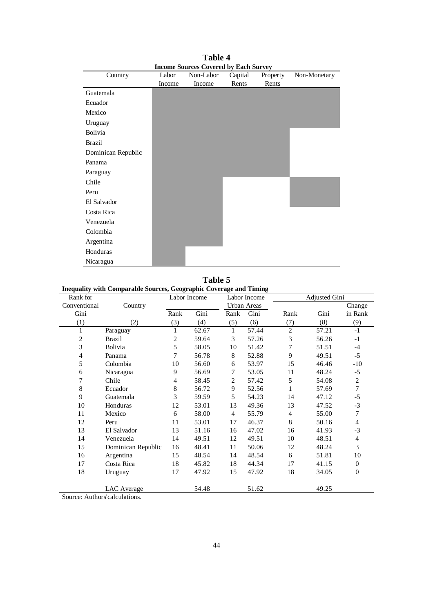| Country            | Labor  | Non-Labor | Capital | Property | Non-Monetary |
|--------------------|--------|-----------|---------|----------|--------------|
|                    | Income | Income    | Rents   | Rents    |              |
| Guatemala          |        |           |         |          |              |
| Ecuador            |        |           |         |          |              |
| Mexico             |        |           |         |          |              |
| Uruguay            |        |           |         |          |              |
| Bolivia            |        |           |         |          |              |
| <b>Brazil</b>      |        |           |         |          |              |
| Dominican Republic |        |           |         |          |              |
| Panama             |        |           |         |          |              |
| Paraguay           |        |           |         |          |              |
| Chile              |        |           |         |          |              |
| Peru               |        |           |         |          |              |
| El Salvador        |        |           |         |          |              |
| Costa Rica         |        |           |         |          |              |
| Venezuela          |        |           |         |          |              |
| Colombia           |        |           |         |          |              |
| Argentina          |        |           |         |          |              |
| Honduras           |        |           |         |          |              |
| Nicaragua          |        |           |         |          |              |

**Table 4 Income Sources Covered by Each Survey**

**Table 5**

| Inequality with Comparable Sources, Geographic Coverage and Timing |         |      |               |      |              |        |               |         |
|--------------------------------------------------------------------|---------|------|---------------|------|--------------|--------|---------------|---------|
| Rank for                                                           |         |      | Labor Income  |      | Labor Income |        | Adiusted Gini |         |
| Conventional                                                       | Country |      |               |      | Urban Areas  |        |               | Change  |
| Gini                                                               |         | Rank | Gini          | Rank | Gini         | Rank   | Gini          | in Rank |
|                                                                    | 21      | 3)   | (4)           | [5]  | (6)          |        | (8)           | (9)     |
| <b>D</b>                                                           |         |      | $\sim$ $\sim$ |      | $    -$      | $\sim$ | $   -$        |         |

| (1)            | (2)                | (3) | (4)   | (5) | (6)   | (7)            | (8)   | (9)          |
|----------------|--------------------|-----|-------|-----|-------|----------------|-------|--------------|
| 1              | Paraguay           |     | 62.67 | 1   | 57.44 | $\overline{2}$ | 57.21 | $-1$         |
| 2              | Brazil             | 2   | 59.64 | 3   | 57.26 | 3              | 56.26 | $-1$         |
| 3              | Bolivia            | 5   | 58.05 | 10  | 51.42 | 7              | 51.51 | $-4$         |
| $\overline{4}$ | Panama             | 7   | 56.78 | 8   | 52.88 | 9              | 49.51 | $-5$         |
| 5              | Colombia           | 10  | 56.60 | 6   | 53.97 | 15             | 46.46 | -10          |
| 6              | Nicaragua          | 9   | 56.69 | 7   | 53.05 | 11             | 48.24 | $-5$         |
| 7              | Chile              | 4   | 58.45 | 2   | 57.42 | 5              | 54.08 | 2            |
| 8              | Ecuador            | 8   | 56.72 | 9   | 52.56 | 1              | 57.69 | 7            |
| 9              | Guatemala          | 3   | 59.59 | 5   | 54.23 | 14             | 47.12 | $-5$         |
| 10             | Honduras           | 12  | 53.01 | 13  | 49.36 | 13             | 47.52 | $-3$         |
| 11             | Mexico             | 6   | 58.00 | 4   | 55.79 | 4              | 55.00 | 7            |
| 12             | Peru               | 11  | 53.01 | 17  | 46.37 | 8              | 50.16 | 4            |
| 13             | El Salvador        | 13  | 51.16 | 16  | 47.02 | 16             | 41.93 | $-3$         |
| 14             | Venezuela          | 14  | 49.51 | 12  | 49.51 | 10             | 48.51 | 4            |
| 15             | Dominican Republic | 16  | 48.41 | 11  | 50.06 | 12             | 48.24 | 3            |
| 16             | Argentina          | 15  | 48.54 | 14  | 48.54 | 6              | 51.81 | 10           |
| 17             | Costa Rica         | 18  | 45.82 | 18  | 44.34 | 17             | 41.15 | $\mathbf{0}$ |
| 18             | Uruguay            | 17  | 47.92 | 15  | 47.92 | 18             | 34.05 | $\theta$     |
|                | <b>LAC</b> Average |     | 54.48 |     | 51.62 |                | 49.25 |              |

Source: Authors'calculations.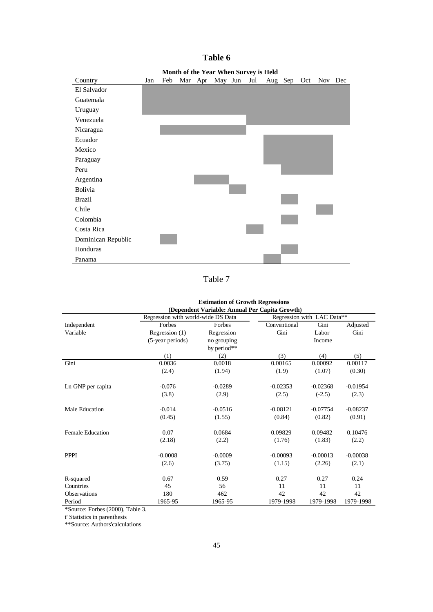|                    |     |     |  | <b>MORE OF THE TURE WHEN DUI VCT IS HERE</b> |     |         |             |  |
|--------------------|-----|-----|--|----------------------------------------------|-----|---------|-------------|--|
| Country            | Jan | Feb |  | Mar Apr May Jun                              | Jul | Aug Sep | Oct Nov Dec |  |
| El Salvador        |     |     |  |                                              |     |         |             |  |
| Guatemala          |     |     |  |                                              |     |         |             |  |
| Uruguay            |     |     |  |                                              |     |         |             |  |
| Venezuela          |     |     |  |                                              |     |         |             |  |
| Nicaragua          |     |     |  |                                              |     |         |             |  |
| Ecuador            |     |     |  |                                              |     |         |             |  |
| Mexico             |     |     |  |                                              |     |         |             |  |
| Paraguay           |     |     |  |                                              |     |         |             |  |
| Peru               |     |     |  |                                              |     |         |             |  |
| Argentina          |     |     |  |                                              |     |         |             |  |
| Bolivia            |     |     |  |                                              |     |         |             |  |
| <b>Brazil</b>      |     |     |  |                                              |     |         |             |  |
| Chile              |     |     |  |                                              |     |         |             |  |
| Colombia           |     |     |  |                                              |     |         |             |  |
| Costa Rica         |     |     |  |                                              |     |         |             |  |
| Dominican Republic |     |     |  |                                              |     |         |             |  |
| Honduras           |     |     |  |                                              |     |         |             |  |
| Panama             |     |     |  |                                              |     |         |             |  |

## **Table 6 Month of the Year When Survey is Held**

Table 7

|                         |                                    | <b>ESUMATION OF GLOWIN Regi essions</b>        |              |                            |            |  |  |  |  |  |  |  |  |  |
|-------------------------|------------------------------------|------------------------------------------------|--------------|----------------------------|------------|--|--|--|--|--|--|--|--|--|
|                         |                                    | (Dependent Variable: Annual Per Capita Growth) |              |                            |            |  |  |  |  |  |  |  |  |  |
|                         | Regression with world-wide DS Data |                                                |              | Regression with LAC Data** |            |  |  |  |  |  |  |  |  |  |
| Independent             | Forbes                             | Forbes                                         | Conventional | Gini                       | Adjusted   |  |  |  |  |  |  |  |  |  |
| Variable                | Regression (1)                     | Regression                                     | Gini         | Labor                      | Gini       |  |  |  |  |  |  |  |  |  |
|                         | (5-year periods)                   | no grouping                                    |              | Income                     |            |  |  |  |  |  |  |  |  |  |
|                         |                                    | by period**                                    |              |                            |            |  |  |  |  |  |  |  |  |  |
|                         | (1)                                | (2)                                            | (3)          | (4)                        | (5)        |  |  |  |  |  |  |  |  |  |
| Gini                    | 0.0036                             | 0.0018                                         | 0.00165      | 0.00092                    | 0.00117    |  |  |  |  |  |  |  |  |  |
|                         | (2.4)                              | (1.94)                                         | (1.9)        | (1.07)                     | (0.30)     |  |  |  |  |  |  |  |  |  |
| Ln GNP per capita       | $-0.076$                           | $-0.0289$                                      | $-0.02353$   | $-0.02368$                 | $-0.01954$ |  |  |  |  |  |  |  |  |  |
|                         | (3.8)                              | (2.9)                                          | (2.5)        | $(-2.5)$                   | (2.3)      |  |  |  |  |  |  |  |  |  |
| Male Education          | $-0.014$                           | $-0.0516$                                      | $-0.08121$   | $-0.07754$                 | $-0.08237$ |  |  |  |  |  |  |  |  |  |
|                         | (0.45)                             | (1.55)                                         | (0.84)       | (0.82)                     | (0.91)     |  |  |  |  |  |  |  |  |  |
| <b>Female Education</b> | 0.07                               | 0.0684                                         | 0.09829      | 0.09482                    | 0.10476    |  |  |  |  |  |  |  |  |  |
|                         | (2.18)                             | (2.2)                                          | (1.76)       | (1.83)                     | (2.2)      |  |  |  |  |  |  |  |  |  |
| <b>PPPI</b>             | $-0.0008$                          | $-0.0009$                                      | $-0.00093$   | $-0.00013$                 | $-0.00038$ |  |  |  |  |  |  |  |  |  |
|                         | (2.6)                              | (3.75)                                         | (1.15)       | (2.26)                     | (2.1)      |  |  |  |  |  |  |  |  |  |
| R-squared               | 0.67                               | 0.59                                           | 0.27         | 0.27                       | 0.24       |  |  |  |  |  |  |  |  |  |
| Countries               | 45                                 | 56                                             | 11           | 11                         | 11         |  |  |  |  |  |  |  |  |  |
| <b>Observations</b>     | 180                                | 462                                            | 42           | 42                         | 42         |  |  |  |  |  |  |  |  |  |
| Period                  | 1965-95                            | 1965-95                                        | 1979-1998    | 1979-1998                  | 1979-1998  |  |  |  |  |  |  |  |  |  |

**Estimation of Growth Regressions**

\*Source: Forbes (2000), Table 3.

t' Statistics in parenthesis

\*\*Source: Authors'calculations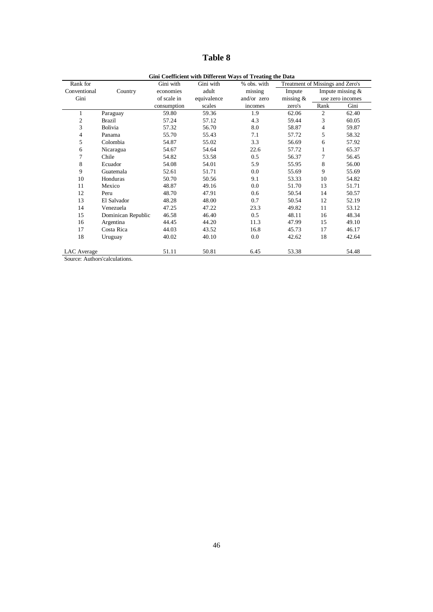## **Table 8**

|              |                    |             |             | Gini Coefficient with Different Ways of Treating the Data |                                  |                |                    |
|--------------|--------------------|-------------|-------------|-----------------------------------------------------------|----------------------------------|----------------|--------------------|
| Rank for     |                    | Gini with   | Gini with   | % obs. with                                               | Treatment of Missings and Zero's |                |                    |
| Conventional | Country            | economies   | adult       | missing                                                   | Impute                           |                | Impute missing $&$ |
| Gini         |                    | of scale in | equivalence | and/or zero                                               | missing $&$                      |                | use zero incomes   |
|              |                    | consumption | scales      | incomes                                                   | zero's                           | Rank           | Gini               |
| 1            | Paraguay           | 59.80       | 59.36       | 1.9                                                       | 62.06                            | $\overline{2}$ | 62.40              |
| 2            | <b>Brazil</b>      | 57.24       | 57.12       | 4.3                                                       | 59.44                            | 3              | 60.05              |
| 3            | Bolivia            | 57.32       | 56.70       | 8.0                                                       | 58.87                            | 4              | 59.87              |
| 4            | Panama             | 55.70       | 55.43       | 7.1                                                       | 57.72                            | 5              | 58.32              |
| 5            | Colombia           | 54.87       | 55.02       | 3.3                                                       | 56.69                            | 6              | 57.92              |
| 6            | Nicaragua          | 54.67       | 54.64       | 22.6                                                      | 57.72                            | 1              | 65.37              |
| 7            | Chile              | 54.82       | 53.58       | 0.5                                                       | 56.37                            | 7              | 56.45              |
| 8            | Ecuador            | 54.08       | 54.01       | 5.9                                                       | 55.95                            | 8              | 56.00              |
| 9            | Guatemala          | 52.61       | 51.71       | 0.0                                                       | 55.69                            | 9              | 55.69              |
| 10           | Honduras           | 50.70       | 50.56       | 9.1                                                       | 53.33                            | 10             | 54.82              |
| 11           | Mexico             | 48.87       | 49.16       | 0.0                                                       | 51.70                            | 13             | 51.71              |
| 12           | Peru               | 48.70       | 47.91       | 0.6                                                       | 50.54                            | 14             | 50.57              |
| 13           | El Salvador        | 48.28       | 48.00       | 0.7                                                       | 50.54                            | 12             | 52.19              |
| 14           | Venezuela          | 47.25       | 47.22       | 23.3                                                      | 49.82                            | 11             | 53.12              |
| 15           | Dominican Republic | 46.58       | 46.40       | 0.5                                                       | 48.11                            | 16             | 48.34              |
| 16           | Argentina          | 44.45       | 44.20       | 11.3                                                      | 47.99                            | 15             | 49.10              |
| 17           | Costa Rica         | 44.03       | 43.52       | 16.8                                                      | 45.73                            | 17             | 46.17              |
| 18           | Uruguay            | 40.02       | 40.10       | 0.0                                                       | 42.62                            | 18             | 42.64              |
| LAC Average  |                    | 51.11       | 50.81       | 6.45                                                      | 53.38                            |                | 54.48              |

Source: Authors'calculations.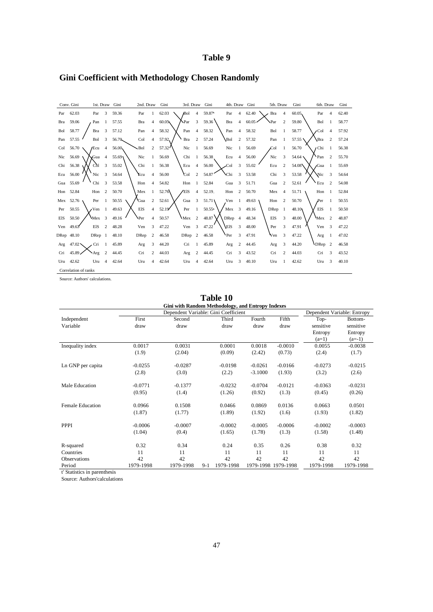## **Table 9**

|            | Conv. Gini           |               | 1st. Draw      | Gini  | 2nd. Draw   |                | Gini   | 3rd. Draw   |                | Gini  | 4th. Draw   |                | Gini          | 5th. Draw        |                | Gini      | 6th. Draw     |                | Gini  |
|------------|----------------------|---------------|----------------|-------|-------------|----------------|--------|-------------|----------------|-------|-------------|----------------|---------------|------------------|----------------|-----------|---------------|----------------|-------|
| Par        | 62.03                | Par           | 3              | 59.36 | Par         | 1              | 62.03  | <b>Bol</b>  | $\overline{4}$ | 59.87 | Par         | 4              | 62.40         | Bra              | $\overline{4}$ | 60.05     | Par           | $\overline{4}$ | 62.40 |
| Bra        | 59.06                | Pan           | -1             | 57.55 | Bra         | 4              | 60.05  | NPar        | 3              | 59.36 | Bra         | 4              | $60.05 \cdot$ | <b>\Par</b>      | 2              | 59.80     | Bol           |                | 58.77 |
| Bol        | 58.77                | Bra           | 3              | 57.12 | Pan         | $\overline{4}$ | 58.32  | Pan         | 4              | 58.32 | Pan         | 4              | 58.32         | Bol              |                | 58.77     | $\sqrt{C}$ ol | $\overline{4}$ | 57.92 |
| Pan        | 57.55                | Bol           | 3              | 56.70 | Col         | 4              | 57.92, | Bra         | $\overline{c}$ | 57.24 | <b>Bol</b>  | 2              | 57.32         | Pan              |                | 57.55     | Bra           | $\overline{c}$ | 57.24 |
| Col        | 56.70                | /Ecu          | $\overline{4}$ | 56.00 | - Bol       | $\overline{c}$ | 57.32' | Nic         |                | 56.69 | Nic         |                | 56.69         | $\mathcal{C}$ ol |                | 56.70     | Chi           |                | 56.38 |
| Nic        | 56.69                | ∨Gua          | $\overline{4}$ | 55.69 | Nic         |                | 56.69  | Chi         | 1              | 56.38 | Ecu         | 4              | 56.00         | Nic              | 3              | $54.64$ \ | Pan           | $\overline{c}$ | 55.70 |
| Chi        | 56.38                | Col           | 3              | 55.02 | Chi         |                | 56.38  | Ecu         | $\overline{4}$ | 56.00 | Col         | 3              | 55.02         | Ecu              | $\overline{2}$ | 54.08     | Gua           |                | 55.69 |
| Ecu        | 56.00                | Nic           | 3              | 54.64 | Ecu         | 4              | 56.00  | <b>Col</b>  | $\overline{c}$ | 54.87 | <b>\Chi</b> | 3              | 53.58         | Chi              | 3              | 53.58     | Nic           | 3              | 54.64 |
| Gua        | 55.69                | Chi           | 3              | 53.58 | Hon         | 4              | 54.82  | Hon         | 1              | 52.84 | Gua         | 3              | 51.71         | Gua              | 2              | 52.61     | Ecu           | $\overline{c}$ | 54.08 |
|            | Hon 52.84            | Hon           | 2              | 50.70 | Mex         | 1              | 52.76  | 'Els        | $\overline{4}$ | 52.19 | Hon         | 2              | 50.70         | Mex              | 4              | 51.71     | Hon           |                | 52.84 |
|            | Mex 52.76            | Per           | 1              | 50.55 | <b>Gua</b>  | $\overline{c}$ | 52.61  | Gua         | 3              | 51.71 | Ven         | 1              | 49.63         | Hon              | 2              | 50.70     | Per           |                | 50.55 |
| Per        | 50.55                | $\sqrt{V}$ en | $\overline{1}$ | 49.63 | <b>EIS</b>  | 4              | 52.19' | Per         |                | 50.55 | Mex         | 3              | 49.16         | DRep             | -1             | 48.10y    | <b>EIS</b>    |                | 50.50 |
| <b>EIS</b> | 50.50                | Mex           | 3              | 49.16 | <b>\Per</b> | 4              | 50.57  | Mex         | $\overline{c}$ | 48.87 | <b>DRep</b> | $\overline{4}$ | 48.34         | EIS              | 3              | 48.00     | Mex           | $\overline{c}$ | 48.87 |
| Ven        | 49.63                | <b>EIS</b>    | $\overline{c}$ | 48.28 | Ven         | 3              | 47.22  | Ven         | 3              | 47.22 | <b>VEIS</b> | 3              | 48.00         | Per              | 3              | 47.91     | Ven           | 3              | 47.22 |
|            | DRep 48.10           | DRep 1        |                | 48.10 | <b>DRep</b> | $\overline{c}$ | 46.58  | <b>DRep</b> | $\overline{c}$ | 46.58 | Per         | 3              | 47.91         | Ven              | 3              | 47.22     | Arg           |                | 47.02 |
| Arg        | $47.02 \times$       | Cri           |                | 45.89 | Arg         | 3              | 44.20  | Cri         | 1              | 45.89 | Arg         | 2              | 44.45         | Arg              | 3              | 44.20     | DRep          | 2              | 46.58 |
| Cri        | 45.89                | Arg           | $\overline{c}$ | 44.45 | Cri         | 2              | 44.03  | Arg         | 2              | 44.45 | Cri         | 3              | 43.52         | Cri              | 2              | 44.03     | Cri           | 3              | 43.52 |
| Uru        | 42.62                | Uru           | 4              | 42.64 | Uru         | $\overline{4}$ | 42.64  | Uru         | 4              | 42.64 | Uru         | 3              | 40.10         | Uru              | 1              | 42.62     | Uru           | 3              | 40.10 |
|            | Correlation of ranks |               |                |       |             |                |        |             |                |       |             |                |               |                  |                |           |               |                |       |

# **Gini Coefficient with Methodology Chosen Randomly**

| Source: Authors' calculations. |  |
|--------------------------------|--|
|--------------------------------|--|

|                                               |                     |                                                          |       | Table 10            |                        |                     |                                         |                                             |
|-----------------------------------------------|---------------------|----------------------------------------------------------|-------|---------------------|------------------------|---------------------|-----------------------------------------|---------------------------------------------|
|                                               |                     | <b>Gini with Random Methodology, and Entropy Indexes</b> |       |                     |                        |                     |                                         |                                             |
|                                               |                     | Dependent Variable: Entropy                              |       |                     |                        |                     |                                         |                                             |
| Independent<br>Variable                       | First<br>draw       | Second<br>draw                                           |       | Third<br>draw       | Fourth<br>draw         | Fifth<br>draw       | Top-<br>sensitive<br>Entropy<br>$(a=1)$ | Bottom-<br>sensitive<br>Entropy<br>$(a=-1)$ |
| Inequality index                              | 0.0017<br>(1.9)     | 0.0031<br>(2.04)                                         |       | 0.0001<br>(0.09)    | 0.0018<br>(2.42)       | $-0.0010$<br>(0.73) | 0.0055<br>(2.4)                         | $-0.0038$<br>(1.7)                          |
| Ln GNP per capita                             | $-0.0255$<br>(2.8)  | $-0.0287$<br>(3.0)                                       |       | $-0.0198$<br>(2.2)  | $-0.0261$<br>$-3.1000$ | $-0.0166$<br>(1.93) | $-0.0273$<br>(3.2)                      | $-0.0215$<br>(2.6)                          |
| Male Education                                | $-0.0771$<br>(0.95) | $-0.1377$<br>(1.4)                                       |       | $-0.0232$<br>(1.26) | $-0.0704$<br>(0.92)    | $-0.0121$<br>(1.3)  | $-0.0363$<br>(0.45)                     | $-0.0231$<br>(0.26)                         |
| Female Education                              | 0.0966<br>(1.87)    | 0.1508<br>(1.77)                                         |       | 0.0466<br>(1.89)    | 0.0869<br>(1.92)       | 0.0136<br>(1.6)     | 0.0663<br>(1.93)                        | 0.0501<br>(1.82)                            |
| PPPI                                          | $-0.0006$<br>(1.04) | $-0.0007$<br>(0.4)                                       |       | $-0.0002$<br>(1.65) | $-0.0005$<br>(1.78)    | $-0.0006$<br>(1.3)  | $-0.0002$<br>(1.58)                     | $-0.0003$<br>(1.48)                         |
| R-squared<br>Countries<br><b>Observations</b> | 0.32<br>11<br>42    | 0.34<br>11<br>42                                         |       | 0.24<br>11<br>42    | 0.35<br>11<br>42       | 0.26<br>11<br>42    | 0.38<br>11<br>42                        | 0.32<br>11<br>42                            |
| Period                                        | 1979-1998           | 1979-1998                                                | $9-1$ | 1979-1998           |                        | 1979-1998 1979-1998 | 1979-1998                               | 1979-1998                                   |

t' Statistics in parenthesis

Source: Authors'calculations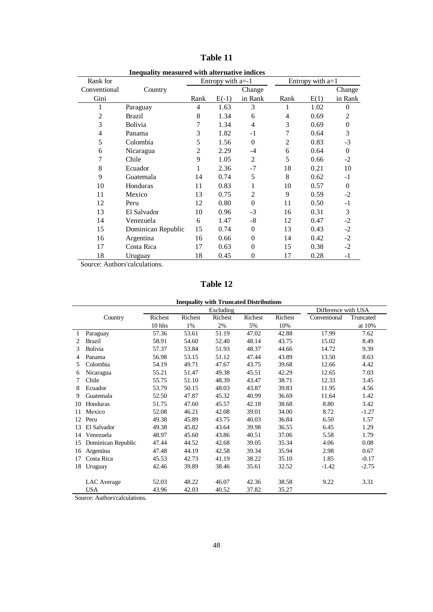| mequality measured with alternative murces |                    |                |                     |                |                |                  |          |  |  |  |  |
|--------------------------------------------|--------------------|----------------|---------------------|----------------|----------------|------------------|----------|--|--|--|--|
| Rank for                                   |                    |                | Entropy with $a=-1$ |                |                | Entropy with a=1 |          |  |  |  |  |
| Conventional                               | Country            |                |                     | Change         |                |                  | Change   |  |  |  |  |
| Gini                                       |                    | Rank           | $E(-1)$             | in Rank        | Rank           | E(1)             | in Rank  |  |  |  |  |
| 1                                          | Paraguay           | 4              | 1.63                | 3              |                | 1.02             | 0        |  |  |  |  |
| $\overline{c}$                             | Brazil             | 8              | 1.34                | 6              | 4              | 0.69             | 2        |  |  |  |  |
| 3                                          | <b>Bolivia</b>     | 7              | 1.34                | 4              | 3              | 0.69             | $\Omega$ |  |  |  |  |
| $\overline{4}$                             | Panama             | 3              | 1.82                | $-1$           | 7              | 0.64             | 3        |  |  |  |  |
| 5                                          | Colombia           | 5              | 1.56                | $\overline{0}$ | $\overline{c}$ | 0.83             | $-3$     |  |  |  |  |
| 6                                          | Nicaragua          | $\overline{c}$ | 2.29                | $-4$           | 6              | 0.64             | $\Omega$ |  |  |  |  |
| 7                                          | Chile              | 9              | 1.05                | $\overline{c}$ | 5              | 0.66             | $-2$     |  |  |  |  |
| 8                                          | Ecuador            | 1              | 2.36                | $-7$           | 18             | 0.21             | 10       |  |  |  |  |
| 9                                          | Guatemala          | 14             | 0.74                | 5              | 8              | 0.62             | $-1$     |  |  |  |  |
| 10                                         | Honduras           | 11             | 0.83                | 1              | 10             | 0.57             | $\Omega$ |  |  |  |  |
| 11                                         | Mexico             | 13             | 0.75                | $\overline{c}$ | 9              | 0.59             | $-2$     |  |  |  |  |
| 12                                         | Peru               | 12             | 0.80                | $\theta$       | 11             | 0.50             | $-1$     |  |  |  |  |
| 13                                         | El Salvador        | 10             | 0.96                | $-3$           | 16             | 0.31             | 3        |  |  |  |  |
| 14                                         | Venezuela          | 6              | 1.47                | -8             | 12             | 0.47             | $-2$     |  |  |  |  |
| 15                                         | Dominican Republic | 15             | 0.74                | $\theta$       | 13             | 0.43             | $-2$     |  |  |  |  |
| 16                                         | Argentina          | 16             | 0.66                | $\theta$       | 14             | 0.42             | $-2$     |  |  |  |  |
| 17                                         | Costa Rica         | 17             | 0.63                | $\overline{0}$ | 15             | 0.38             | $-2$     |  |  |  |  |
| 18                                         | Uruguay            | 18             | 0.45                | 0              | 17             | 0.28             | $-1$     |  |  |  |  |

**Table 11**

 **Inequality measured with alternative indices**

Source: Authors'calculations.

**Table 12**

|                |                    | Excluding |         |         |         |         | Difference with USA |           |  |  |
|----------------|--------------------|-----------|---------|---------|---------|---------|---------------------|-----------|--|--|
|                | Country            | Richest   | Richest | Richest | Richest | Richest | Conventional        | Truncated |  |  |
|                |                    | 10 hhs    | 1%      | 2%      | 5%      | 10%     |                     | at 10%    |  |  |
| 1              | Paraguay           | 57.36     | 53.61   | 51.19   | 47.02   | 42.88   | 17.99               | 7.62      |  |  |
| $\mathfrak{D}$ | <b>Brazil</b>      | 58.91     | 54.60   | 52.40   | 48.14   | 43.75   | 15.02               | 8.49      |  |  |
| 3              | Bolivia            | 57.37     | 53.84   | 51.93   | 48.37   | 44.66   | 14.72               | 9.39      |  |  |
| 4              | Panama             | 56.98     | 53.15   | 51.12   | 47.44   | 43.89   | 13.50               | 8.63      |  |  |
| 5              | Colombia           | 54.19     | 49.71   | 47.67   | 43.75   | 39.68   | 12.66               | 4.42      |  |  |
| 6              | Nicaragua          | 55.21     | 51.47   | 49.38   | 45.51   | 42.29   | 12.65               | 7.03      |  |  |
| 7              | Chile              | 55.75     | 51.10   | 48.39   | 43.47   | 38.71   | 12.33               | 3.45      |  |  |
| 8              | Ecuador            | 53.79     | 50.15   | 48.03   | 43.87   | 39.83   | 11.95               | 4.56      |  |  |
| 9              | Guatemala          | 52.50     | 47.87   | 45.32   | 40.99   | 36.69   | 11.64               | 1.42      |  |  |
| 10             | Honduras           | 51.75     | 47.60   | 45.57   | 42.18   | 38.68   | 8.80                | 3.42      |  |  |
| 11             | Mexico             | 52.08     | 46.21   | 42.08   | 39.01   | 34.00   | 8.72                | $-1.27$   |  |  |
| 12             | Peru               | 49.38     | 45.89   | 43.75   | 40.03   | 36.84   | 6.50                | 1.57      |  |  |
| 13             | El Salvador        | 49.38     | 45.82   | 43.64   | 39.98   | 36.55   | 6.45                | 1.29      |  |  |
| 14             | Venezuela          | 48.97     | 45.60   | 43.86   | 40.51   | 37.06   | 5.58                | 1.79      |  |  |
| 15             | Dominican Republic | 47.44     | 44.52   | 42.68   | 39.05   | 35.34   | 4.06                | 0.08      |  |  |
| 16             | Argentina          | 47.48     | 44.19   | 42.58   | 39.34   | 35.94   | 2.98                | 0.67      |  |  |
| 17             | Costa Rica         | 45.53     | 42.73   | 41.19   | 38.22   | 35.10   | 1.85                | $-0.17$   |  |  |
| 18             | Uruguay            | 42.46     | 39.89   | 38.46   | 35.61   | 32.52   | $-1.42$             | $-2.75$   |  |  |
|                |                    |           |         |         |         |         |                     |           |  |  |
|                | LAC Average        | 52.03     | 48.22   | 46.07   | 42.36   | 38.58   | 9.22                | 3.31      |  |  |
|                | <b>USA</b>         | 43.96     | 42.03   | 40.52   | 37.82   | 35.27   |                     |           |  |  |

Source: Authors'calculations.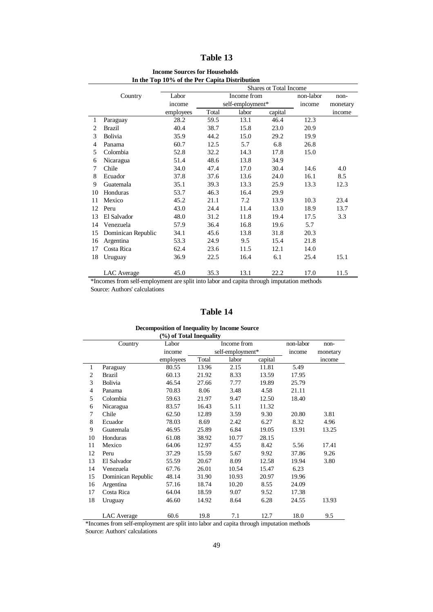#### **Table 13**

|    | In the Top To 70 of the Fet Capita Distribution<br><b>Shares ot Total Income</b> |                    |      |                  |         |           |        |  |  |  |  |
|----|----------------------------------------------------------------------------------|--------------------|------|------------------|---------|-----------|--------|--|--|--|--|
|    | Country                                                                          | Labor              |      | Income from      |         | non-labor | non-   |  |  |  |  |
|    |                                                                                  | income             |      | self-employment* | income  | monetary  |        |  |  |  |  |
|    |                                                                                  | Total<br>employees |      | labor            | capital |           | income |  |  |  |  |
| 1  | Paraguay                                                                         | 28.2               | 59.5 | 13.1             | 46.4    | 12.3      |        |  |  |  |  |
| 2  | <b>Brazil</b>                                                                    | 40.4               | 38.7 | 15.8             | 23.0    | 20.9      |        |  |  |  |  |
| 3  | Bolivia                                                                          | 35.9               | 44.2 | 15.0             | 29.2    | 19.9      |        |  |  |  |  |
| 4  | Panama                                                                           | 60.7               | 12.5 | 5.7              | 6.8     | 26.8      |        |  |  |  |  |
| 5  | Colombia                                                                         | 52.8               | 32.2 | 14.3             | 17.8    | 15.0      |        |  |  |  |  |
| 6  | Nicaragua                                                                        | 51.4               | 48.6 | 13.8             | 34.9    |           |        |  |  |  |  |
| 7  | Chile                                                                            | 34.0               | 47.4 | 17.0             | 30.4    | 14.6      | 4.0    |  |  |  |  |
| 8  | Ecuador                                                                          | 37.8               | 37.6 | 13.6             | 24.0    | 16.1      | 8.5    |  |  |  |  |
| 9  | Guatemala                                                                        | 35.1               | 39.3 | 13.3             | 25.9    | 13.3      | 12.3   |  |  |  |  |
| 10 | Honduras                                                                         | 53.7               | 46.3 | 16.4             | 29.9    |           |        |  |  |  |  |
| 11 | Mexico                                                                           | 45.2               | 21.1 | 7.2              | 13.9    | 10.3      | 23.4   |  |  |  |  |
| 12 | Peru                                                                             | 43.0               | 24.4 | 11.4             | 13.0    | 18.9      | 13.7   |  |  |  |  |
| 13 | El Salvador                                                                      | 48.0               | 31.2 | 11.8             | 19.4    | 17.5      | 3.3    |  |  |  |  |
| 14 | Venezuela                                                                        | 57.9               | 36.4 | 16.8             | 19.6    | 5.7       |        |  |  |  |  |
| 15 | Dominican Republic                                                               | 34.1               | 45.6 | 13.8             | 31.8    | 20.3      |        |  |  |  |  |
| 16 | Argentina                                                                        | 53.3               | 24.9 | 9.5              | 15.4    | 21.8      |        |  |  |  |  |
| 17 | Costa Rica                                                                       | 62.4               | 23.6 | 11.5             | 12.1    | 14.0      |        |  |  |  |  |
| 18 | Uruguay                                                                          | 36.9               | 22.5 | 16.4             | 6.1     | 25.4      | 15.1   |  |  |  |  |
|    |                                                                                  |                    |      |                  |         |           |        |  |  |  |  |
|    | LAC Average                                                                      | 45.0               | 35.3 | 13.1             | 22.2    | 17.0      | 11.5   |  |  |  |  |

#### **Income Sources for Households In the Top 10% of the Per Capita Distribution**

\*Incomes from self-employment are split into labor and capita through imputation methods Source: Authors' calculations

#### **Table 14**

#### **(%) of Total Inequality** Country Labor Income from non-labor nonincome self-employment\* income monetary employees Total labor capital income Paraguay 80.55 13.96 2.15 11.81 5.49 Brazil 60.13 21.92 8.33 13.59 17.95 Bolivia 46.54 27.66 7.77 19.89 25.79 Panama 70.83 8.06 3.48 4.58 21.11 Colombia 59.63 21.97 9.47 12.50 18.40 Nicaragua 83.57 16.43 5.11 11.32 Chile 62.50 12.89 3.59 9.30 20.80 3.81 Ecuador 78.03 8.69 2.42 6.27 8.32 4.96 Guatemala 46.95 25.89 6.84 19.05 13.91 13.25 Honduras 61.08 38.92 10.77 28.15 Mexico 64.06 12.97 4.55 8.42 5.56 17.41 Peru 37.29 15.59 5.67 9.92 37.86 9.26 El Salvador 55.59 20.67 8.09 12.58 19.94 3.80 Venezuela 67.76 26.01 10.54 15.47 6.23 Dominican Republic 48.14 31.90 10.93 20.97 19.96 Argentina 57.16 18.74 10.20 8.55 24.09 Costa Rica 64.04 18.59 9.07 9.52 17.38 Uruguay 46.60 14.92 8.64 6.28 24.55 13.93 LAC Average 60.6 19.8 7.1 12.7 18.0 9.5

 **Decomposition of Inequality by Income Source**

\*Incomes from self-employment are split into labor and capita through imputation methods Source: Authors' calculations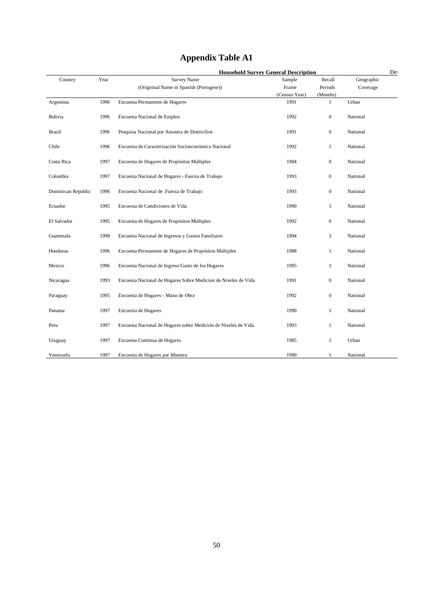| <b>Appendix Table A1</b> |  |  |
|--------------------------|--|--|
|--------------------------|--|--|

|                    |      | <b>Household Survey General Description</b>                    |                       |                          |            | Des |
|--------------------|------|----------------------------------------------------------------|-----------------------|--------------------------|------------|-----|
| Country            | Year | <b>Survey Name</b>                                             | Sample                | Recall                   | Geographic |     |
|                    |      | (Origninal Name in Spanish (Portugese))                        | Frame                 | Periods                  | Coverage   |     |
| Argentina          | 1996 | Encuesta Permanente de Hogares                                 | (Census Year)<br>1991 | (Months)<br>$\mathbf{1}$ | Urban      |     |
| Bolivia            | 1996 | Encuesta Nacional de Empleo                                    | 1992                  | $\boldsymbol{0}$         | National   |     |
| Brazil             | 1996 | Pesquisa Nacional por Amostra de Domicilios                    | 1991                  | $\boldsymbol{0}$         | National   |     |
| Chile              | 1996 | Encuesta de Caracterización Socioeconómica Nacional            | 1992                  | 1                        | National   |     |
| Costa Rica         | 1997 | Encuesta de Hogares de Propósitos Múltiples                    | 1984                  | $\boldsymbol{0}$         | National   |     |
| Colombia           | 1997 | Encuesta Nacional de Hogares - Fuerza de Trabajo               | 1993                  | $\boldsymbol{0}$         | National   |     |
| Dominican Republic | 1996 | Encuesta Nacional de Fuerza de Trabajo                         | 1993                  | $\boldsymbol{0}$         | National   |     |
| Ecuador            | 1995 | Encuesta de Condiciones de Vida                                | 1990                  | 1                        | National   |     |
| El Salvador        | 1995 | Encuesta de Hogares de Propósitos Múltiples                    | 1992                  | $\boldsymbol{0}$         | National   |     |
| Guatemala          | 1998 | Encuesta Nacional de Ingresos y Gastos Familiares              | 1994                  | 3                        | National   |     |
| Honduras           | 1996 | Encuesta Permanente de Hogares de Propósitos Múltiples         | 1988                  | $\mathbf{1}$             | National   |     |
| Mexico             | 1996 | Encuesta Nacional de Ingreso Gasto de los Hogares              | 1995                  | $\mathbf{1}$             | National   |     |
| Nicaragua          | 1993 | Encuesta Nacional de Hogares Sobre Medicion de Niveles de Vida | 1991                  | $\boldsymbol{0}$         | National   |     |
| Paraguay           | 1995 | Encuesta de Hogares - Mano de Obra                             | 1992                  | $\boldsymbol{0}$         | National   |     |
| Panama             | 1997 | Encuesta de Hogares                                            | 1990                  | $\mathbf{1}$             | National   |     |
| Peru               | 1997 | Encuesta Nacional de Hogares sobre Medición de Niveles de Vida | 1993                  | 1                        | National   |     |
| Uruguay            | 1997 | Encuesta Continua de Hogares                                   | 1985                  | 1                        | Urban      |     |
| Venezuela          | 1997 | Encuesta de Hogares por Muestra                                | 1990                  | 1                        | National   |     |